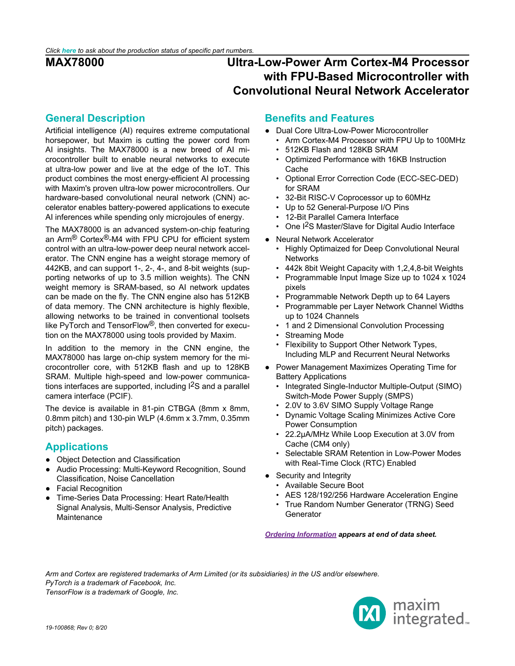## <span id="page-0-0"></span>**General Description**

Artificial intelligence (AI) requires extreme computational horsepower, but Maxim is cutting the power cord from AI insights. The MAX78000 is a new breed of AI microcontroller built to enable neural networks to execute at ultra-low power and live at the edge of the IoT. This product combines the most energy-efficient AI processing with Maxim's proven ultra-low power microcontrollers. Our hardware-based convolutional neural network (CNN) accelerator enables battery-powered applications to execute AI inferences while spending only microjoules of energy.

The MAX78000 is an advanced system-on-chip featuring an Arm® Cortex®-M4 with FPU CPU for efficient system control with an ultra-low-power deep neural network accelerator. The CNN engine has a weight storage memory of 442KB, and can support 1-, 2-, 4-, and 8-bit weights (supporting networks of up to 3.5 million weights). The CNN weight memory is SRAM-based, so AI network updates can be made on the fly. The CNN engine also has 512KB of data memory. The CNN architecture is highly flexible, allowing networks to be trained in conventional toolsets like PyTorch and TensorFlow®, then converted for execution on the MAX78000 using tools provided by Maxim.

In addition to the memory in the CNN engine, the MAX78000 has large on-chip system memory for the microcontroller core, with 512KB flash and up to 128KB SRAM. Multiple high-speed and low-power communications interfaces are supported, including I2S and a parallel camera interface (PCIF).

The device is available in 81-pin CTBGA (8mm x 8mm, 0.8mm pitch) and 130-pin WLP (4.6mm x 3.7mm, 0.35mm pitch) packages.

## <span id="page-0-1"></span>**Applications**

- Object Detection and Classification
- Audio Processing: Multi-Keyword Recognition, Sound Classification, Noise Cancellation
- **Facial Recognition**
- Time-Series Data Processing: Heart Rate/Health Signal Analysis, Multi-Sensor Analysis, Predictive **Maintenance**

## **Benefits and Features**

- Dual Core Ultra-Low-Power Microcontroller
	- Arm Cortex-M4 Processor with FPU Up to 100MHz
	- 512KB Flash and 128KB SRAM
	- Optimized Performance with 16KB Instruction Cache
	- Optional Error Correction Code (ECC-SEC-DED) for SRAM
	- 32-Bit RISC-V Coprocessor up to 60MHz
	- Up to 52 General-Purpose I/O Pins
	- 12-Bit Parallel Camera Interface
	- One I2S Master/Slave for Digital Audio Interface
- Neural Network Accelerator
	- Highly Optimaized for Deep Convolutional Neural **Networks**
	- 442k 8bit Weight Capacity with 1,2,4,8-bit Weights
	- Programmable Input Image Size up to 1024 x 1024 pixels
	- Programmable Network Depth up to 64 Layers
	- Programmable per Layer Network Channel Widths up to 1024 Channels
	- 1 and 2 Dimensional Convolution Processing
	- Streaming Mode
	- Flexibility to Support Other Network Types, Including MLP and Recurrent Neural Networks
- Power Management Maximizes Operating Time for Battery Applications
	- Integrated Single-Inductor Multiple-Output (SIMO) Switch-Mode Power Supply (SMPS)
	- 2.0V to 3.6V SIMO Supply Voltage Range
	- Dynamic Voltage Scaling Minimizes Active Core Power Consumption
	- 22.2μA/MHz While Loop Execution at 3.0V from Cache (CM4 only)
	- Selectable SRAM Retention in Low-Power Modes with Real-Time Clock (RTC) Enabled
- Security and Integrity
	- Available Secure Boot
	- AES 128/192/256 Hardware Acceleration Engine
	- True Random Number Generator (TRNG) Seed **Generator**

*[Ordering Information](#page-45-0) appears at end of data sheet.*

*Arm and Cortex are registered trademarks of Arm Limited (or its subsidiaries) in the US and/or elsewhere. PyTorch is a trademark of Facebook, Inc. TensorFlow is a trademark of Google, Inc.*

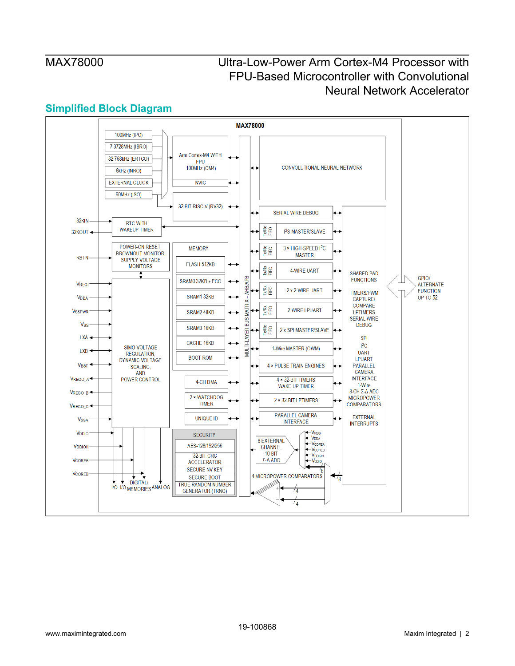## **Simplified Block Diagram**

<span id="page-1-0"></span>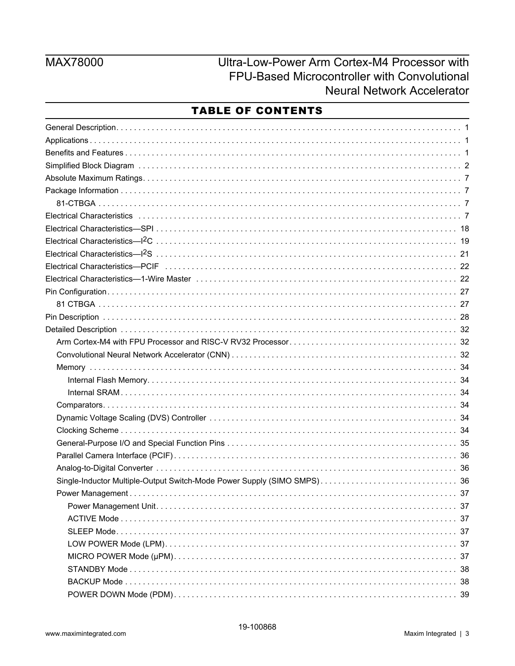# MAX78000

Ultra-Low-Power Arm Cortex-M4 Processor with FPU-Based Microcontroller with Convolutional **Neural Network Accelerator** 

## **TABLE OF CONTENTS**

| Electrical Characteristics inductional contract to the contract of the contract of the contract of the contract of the contract of the contract of the contract of the contract of the contract of the contract of the contrac |  |
|--------------------------------------------------------------------------------------------------------------------------------------------------------------------------------------------------------------------------------|--|
|                                                                                                                                                                                                                                |  |
|                                                                                                                                                                                                                                |  |
|                                                                                                                                                                                                                                |  |
| Electrical Characteristics—PCIF (and according to the control of the control of the control of the control of the control of the control of the control of the control of the control of the control of the control of the con |  |
|                                                                                                                                                                                                                                |  |
|                                                                                                                                                                                                                                |  |
|                                                                                                                                                                                                                                |  |
|                                                                                                                                                                                                                                |  |
|                                                                                                                                                                                                                                |  |
|                                                                                                                                                                                                                                |  |
|                                                                                                                                                                                                                                |  |
|                                                                                                                                                                                                                                |  |
|                                                                                                                                                                                                                                |  |
|                                                                                                                                                                                                                                |  |
|                                                                                                                                                                                                                                |  |
|                                                                                                                                                                                                                                |  |
|                                                                                                                                                                                                                                |  |
|                                                                                                                                                                                                                                |  |
|                                                                                                                                                                                                                                |  |
|                                                                                                                                                                                                                                |  |
|                                                                                                                                                                                                                                |  |
|                                                                                                                                                                                                                                |  |
|                                                                                                                                                                                                                                |  |
|                                                                                                                                                                                                                                |  |
|                                                                                                                                                                                                                                |  |
|                                                                                                                                                                                                                                |  |
|                                                                                                                                                                                                                                |  |
|                                                                                                                                                                                                                                |  |
|                                                                                                                                                                                                                                |  |
|                                                                                                                                                                                                                                |  |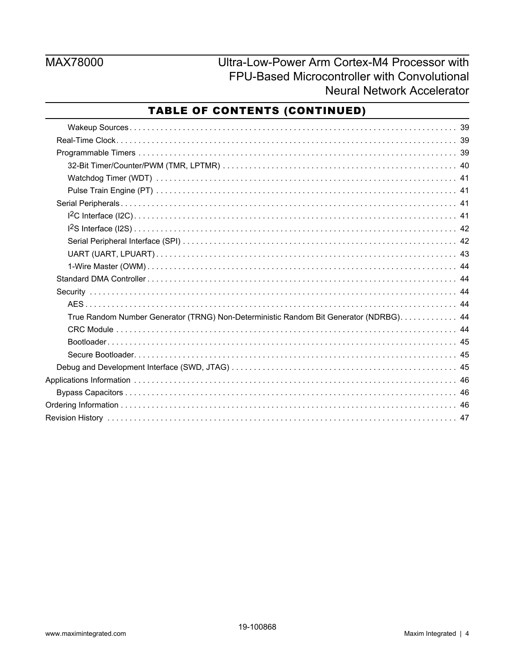# MAX78000

Ultra-Low-Power Arm Cortex-M4 Processor with FPU-Based Microcontroller with Convolutional **Neural Network Accelerator** 

## TABLE OF CONTENTS (CONTINUED)

| True Random Number Generator (TRNG) Non-Deterministic Random Bit Generator (NDRBG). 44 |
|----------------------------------------------------------------------------------------|
|                                                                                        |
|                                                                                        |
|                                                                                        |
|                                                                                        |
|                                                                                        |
|                                                                                        |
|                                                                                        |
|                                                                                        |
|                                                                                        |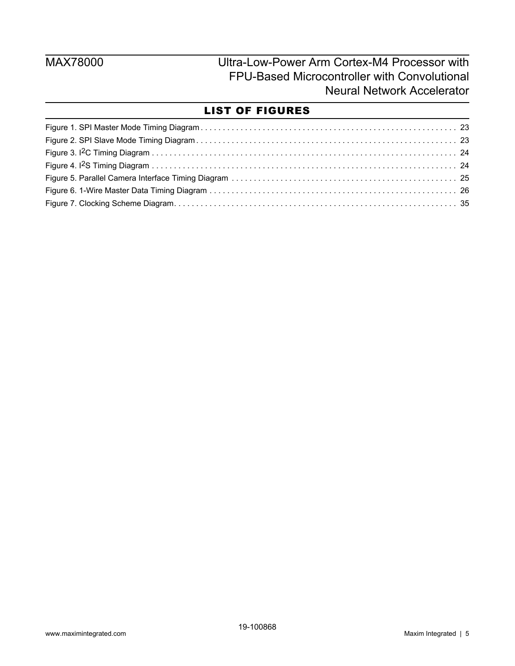## LIST OF FIGURES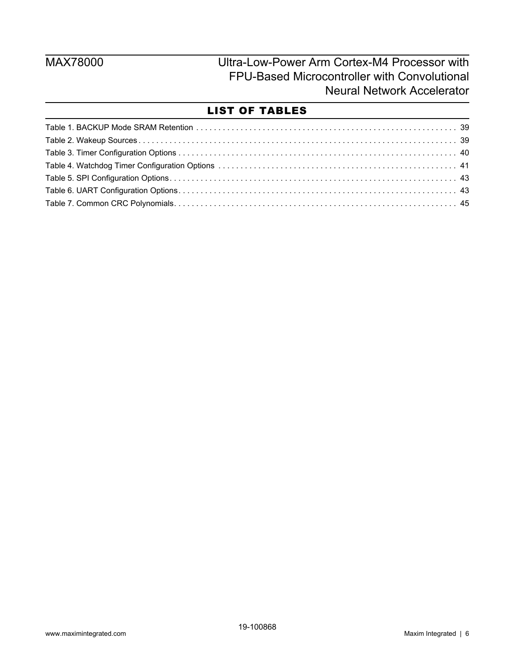## LIST OF TABLES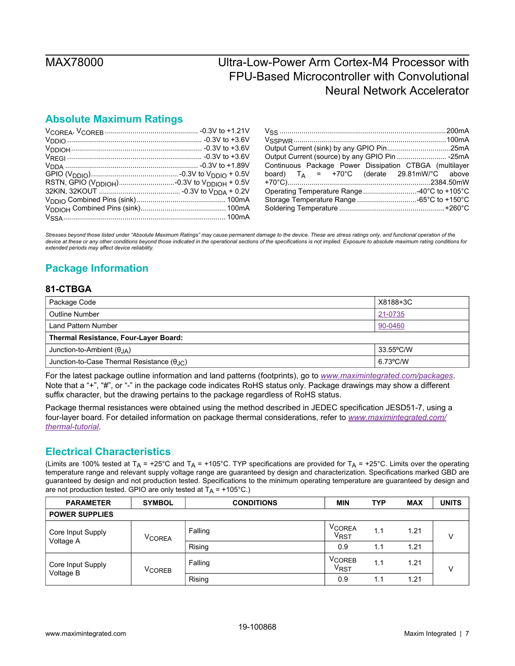## <span id="page-6-0"></span>**Absolute Maximum Ratings**

| Continuous Package Power Dissipation CTBGA (multilayer |  |
|--------------------------------------------------------|--|
| board) $T_A$ = +70°C (derate 29.81mW/°C above          |  |
|                                                        |  |
| Operating Temperature Range 40°C to +105°C             |  |
|                                                        |  |
|                                                        |  |

*Stresses beyond those listed under "Absolute Maximum Ratings" may cause permanent damage to the device. These are stress ratings only, and functional operation of the device at these or any other conditions beyond those indicated in the operational sections of the specifications is not implied. Exposure to absolute maximum rating conditions for extended periods may affect device reliability.*

## <span id="page-6-1"></span>**Package Information**

### <span id="page-6-2"></span>**81-CTBGA**

| Package Code                                               | X8188+3C  |  |  |  |  |
|------------------------------------------------------------|-----------|--|--|--|--|
| <b>Outline Number</b>                                      | 21-0735   |  |  |  |  |
| Land Pattern Number                                        | 90-0460   |  |  |  |  |
| <b>Thermal Resistance, Four-Layer Board:</b>               |           |  |  |  |  |
| Junction-to-Ambient $(\theta_{IA})$                        | 33.55°C/W |  |  |  |  |
| Junction-to-Case Thermal Resistance $(\theta_{\text{JC}})$ | 6.73°C/W  |  |  |  |  |

For the latest package outline information and land patterns (footprints), go to *[www.maximintegrated.com/packages](http://www.maximintegrated.com/packages)*. Note that a "+", "#", or "-" in the package code indicates RoHS status only. Package drawings may show a different suffix character, but the drawing pertains to the package regardless of RoHS status.

Package thermal resistances were obtained using the method described in JEDEC specification JESD51-7, using a four-layer board. For detailed information on package thermal considerations, refer to *[www.maximintegrated.com/](http://www.maximintegrated.com/thermal-tutorial) [thermal-tutorial](http://www.maximintegrated.com/thermal-tutorial)*.

## <span id="page-6-3"></span>**Electrical Characteristics**

| <b>PARAMETER</b>      | <b>SYMBOL</b>            | <b>CONDITIONS</b> | <b>MIN</b>                              | <b>TYP</b> | <b>MAX</b> | <b>UNITS</b> |  |
|-----------------------|--------------------------|-------------------|-----------------------------------------|------------|------------|--------------|--|
| <b>POWER SUPPLIES</b> |                          |                   |                                         |            |            |              |  |
| Core Input Supply     | V <sub>COREA</sub>       | Falling           | <b>VCOREA</b><br><b>V<sub>RST</sub></b> | 1.1        | 1.21       |              |  |
| Voltage A             |                          | Rising            | 0.9                                     | 1.1        | 1.21       |              |  |
| Core Input Supply     | <b>V<sub>COREB</sub></b> | Falling           | <b>VCOREB</b><br>V <sub>RST</sub>       | 1.1        | 1.21       |              |  |
| Voltage B             |                          | Rising            | 0.9                                     | 1.1        | 1.21       |              |  |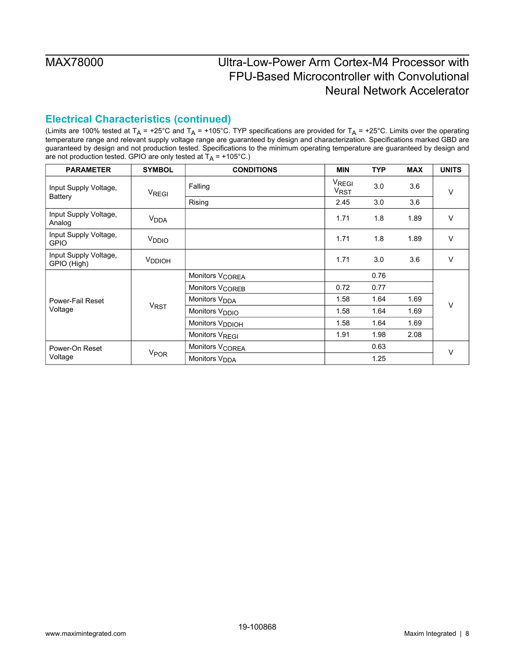## **Electrical Characteristics (continued)**

| <b>PARAMETER</b>                        | <b>SYMBOL</b>           | <b>CONDITIONS</b>           | <b>MIN</b>                       | <b>TYP</b> | <b>MAX</b> | <b>UNITS</b> |
|-----------------------------------------|-------------------------|-----------------------------|----------------------------------|------------|------------|--------------|
| Input Supply Voltage,<br><b>Battery</b> | <b>V<sub>REGI</sub></b> | Falling                     | V <sub>REGI</sub><br><b>VRST</b> | 3.0        | 3.6        | $\vee$       |
|                                         |                         | Rising                      | 2.45                             | 3.0        | 3.6        |              |
| Input Supply Voltage,<br>Analog         | V <sub>DDA</sub>        |                             | 1.71                             | 1.8        | 1.89       | $\vee$       |
| Input Supply Voltage,<br><b>GPIO</b>    | V <sub>DDIO</sub>       |                             | 1.71                             | 1.8        | 1.89       | $\vee$       |
| Input Supply Voltage,<br>GPIO (High)    | V <sub>DDIOH</sub>      |                             | 1.71                             | 3.0        | 3.6        | $\vee$       |
|                                         |                         | Monitors V <sub>COREA</sub> |                                  | 0.76       |            |              |
|                                         |                         | Monitors V <sub>COREB</sub> | 0.72                             | 0.77       |            |              |
| Power-Fail Reset                        |                         | Monitors V <sub>DDA</sub>   | 1.58                             | 1.64       | 1.69       | V            |
| Voltage                                 | <b>V<sub>RST</sub></b>  | Monitors V <sub>DDIO</sub>  | 1.58                             | 1.64       | 1.69       |              |
|                                         |                         | Monitors V <sub>DDIOH</sub> | 1.58                             | 1.64       | 1.69       |              |
|                                         |                         | Monitors V <sub>REGI</sub>  | 1.91                             | 1.98       | 2.08       |              |
| Power-On Reset                          |                         | Monitors V <sub>COREA</sub> |                                  | 0.63       |            | $\vee$       |
| Voltage                                 | V <sub>POR</sub>        | Monitors V <sub>DDA</sub>   |                                  | 1.25       |            |              |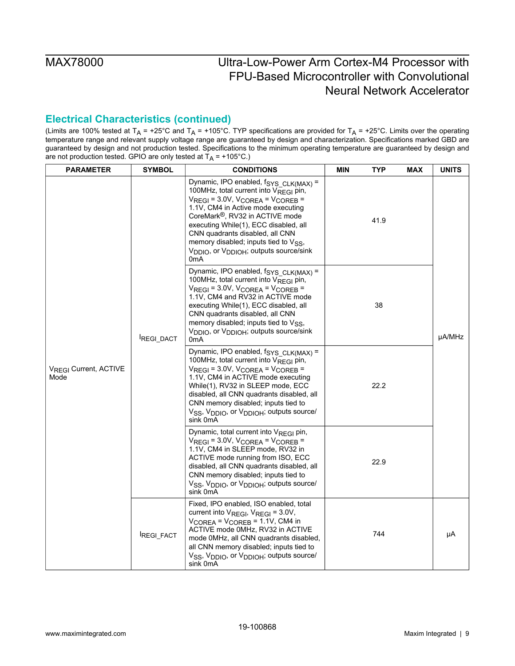## **Electrical Characteristics (continued)**

| <b>PARAMETER</b>                          | <b>SYMBOL</b> | <b>CONDITIONS</b>                                                                                                                                                                                                                                                                                                                                                                                                                                          | MIN<br><b>TYP</b>                                                                                                                                                                                                                                                                                                                                                                                                           | <b>MAX</b> | <b>UNITS</b> |        |
|-------------------------------------------|---------------|------------------------------------------------------------------------------------------------------------------------------------------------------------------------------------------------------------------------------------------------------------------------------------------------------------------------------------------------------------------------------------------------------------------------------------------------------------|-----------------------------------------------------------------------------------------------------------------------------------------------------------------------------------------------------------------------------------------------------------------------------------------------------------------------------------------------------------------------------------------------------------------------------|------------|--------------|--------|
| V <sub>RFGI</sub> Current, ACTIVE<br>Mode |               | Dynamic, IPO enabled, f <sub>SYS</sub> CLK(MAX) =<br>100MHz, total current into VREGI pin,<br>$V_{\text{REGI}} = 3.0 V$ , $V_{\text{COREA}} = V_{\text{COREB}} =$<br>1.1V, CM4 in Active mode executing<br>CoreMark <sup>®</sup> , RV32 in ACTIVE mode<br>executing While(1), ECC disabled, all<br>CNN quadrants disabled, all CNN<br>memory disabled; inputs tied to $V_{SS}$ ,<br>V <sub>DDIO</sub> , or V <sub>DDIOH</sub> ; outputs source/sink<br>0mA | 41.9                                                                                                                                                                                                                                                                                                                                                                                                                        |            |              |        |
|                                           |               | REGI_DACT                                                                                                                                                                                                                                                                                                                                                                                                                                                  | Dynamic, IPO enabled, $f_{\text{SYS CLK(MAX)}} =$<br>100MHz, total current into $V_{RFGI}$ pin,<br>$V_{\text{REGI}} = 3.0V$ , $V_{\text{COREA}} = V_{\text{COREB}} =$<br>1.1V, CM4 and RV32 in ACTIVE mode<br>executing While(1), ECC disabled, all<br>CNN quadrants disabled, all CNN<br>memory disabled; inputs tied to $V_{SS}$ ,<br>V <sub>DDIO</sub> , or V <sub>DDIOH</sub> ; outputs source/sink<br>0 <sub>m</sub> A | 38         |              | µA/MHz |
|                                           |               | Dynamic, IPO enabled, f <sub>SYS_CLK(MAX)</sub> =<br>100MHz, total current into $V_{\text{REG}}$ pin,<br>$V_{\text{REGI}} = 3.0V$ , $V_{\text{COREA}} = V_{\text{COREB}} =$<br>1.1V, CM4 in ACTIVE mode executing<br>While(1), RV32 in SLEEP mode, ECC<br>disabled, all CNN quadrants disabled, all<br>CNN memory disabled; inputs tied to<br>V <sub>SS</sub> , V <sub>DDIO</sub> , or V <sub>DDIOH</sub> , outputs source/<br>sink 0mA                    | 22.2                                                                                                                                                                                                                                                                                                                                                                                                                        |            |              |        |
|                                           |               | Dynamic, total current into $V_{RFGI}$ pin,<br>$V_{REGI}$ = 3.0V, $V_{COREA}$ = $V_{COREB}$ =<br>1.1V, CM4 in SLEEP mode, RV32 in<br>ACTIVE mode running from ISO, ECC<br>disabled, all CNN quadrants disabled, all<br>CNN memory disabled; inputs tied to<br>V <sub>SS</sub> , V <sub>DDIO</sub> , or V <sub>DDIOH</sub> ; outputs source/<br>sink 0mA                                                                                                    | 22.9                                                                                                                                                                                                                                                                                                                                                                                                                        |            |              |        |
|                                           | REGI_FACT     | Fixed, IPO enabled, ISO enabled, total<br>current into $V_{\text{REGI}}$ , $V_{\text{REGI}} = 3.0 V$ ,<br>$V_{COREA}$ = $V_{COREB}$ = 1.1V, CM4 in<br>ACTIVE mode 0MHz, RV32 in ACTIVE<br>mode 0MHz, all CNN quadrants disabled,<br>all CNN memory disabled; inputs tied to<br>V <sub>SS</sub> , V <sub>DDIO</sub> , or V <sub>DDIOH</sub> , outputs source/<br>sink 0mA                                                                                   |                                                                                                                                                                                                                                                                                                                                                                                                                             |            |              | μA     |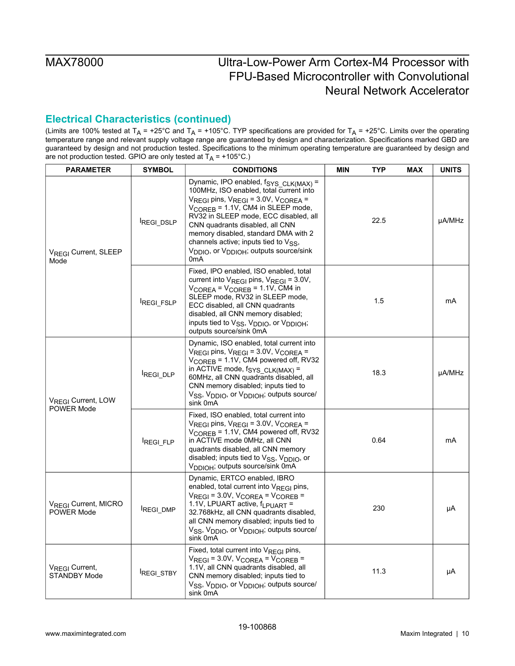## **Electrical Characteristics (continued)**

| <b>PARAMETER</b>                                    | <b>SYMBOL</b>    | <b>CONDITIONS</b>                                                                                                                                                                                                                                                                                                                                                                                                                                                                  | MIN | TYP  | <b>MAX</b> | <b>UNITS</b> |
|-----------------------------------------------------|------------------|------------------------------------------------------------------------------------------------------------------------------------------------------------------------------------------------------------------------------------------------------------------------------------------------------------------------------------------------------------------------------------------------------------------------------------------------------------------------------------|-----|------|------------|--------------|
| V <sub>REGI</sub> Current, SLEEP<br>Mode            | REGI_DSLP        | Dynamic, IPO enabled, f <sub>SYS_CLK(MAX)</sub> =<br>100MHz, ISO enabled, total current into<br>$V_{\text{REGI}}$ pins, $V_{\text{REGI}} = 3.0 V$ , $V_{\text{COREA}} =$<br>V <sub>COREB</sub> = 1.1V, CM4 in SLEEP mode,<br>RV32 in SLEEP mode, ECC disabled, all<br>CNN quadrants disabled, all CNN<br>memory disabled, standard DMA with 2<br>channels active; inputs tied to $V_{SS}$ ,<br>V <sub>DDIO</sub> , or V <sub>DDIOH</sub> , outputs source/sink<br>0 <sub>m</sub> A |     | 22.5 |            | µA/MHz       |
|                                                     | REGI_FSLP        | Fixed, IPO enabled, ISO enabled, total<br>current into $V_{\text{REGI}}$ pins, $V_{\text{REGI}} = 3.0 V$ ,<br>$V_{COREA}$ = $V_{COREB}$ = 1.1V, CM4 in<br>SLEEP mode, RV32 in SLEEP mode,<br>ECC disabled, all CNN quadrants<br>disabled, all CNN memory disabled;<br>inputs tied to V <sub>SS</sub> , V <sub>DDIO</sub> , or V <sub>DDIOH</sub> ;<br>outputs source/sink 0mA                                                                                                      |     | 1.5  |            | mA           |
| V <sub>REGI</sub> Current, LOW<br><b>POWER Mode</b> | REGI DLP         | Dynamic, ISO enabled, total current into<br>$V_{\text{REGI}}$ pins, $V_{\text{REGI}} = 3.0 V$ , $V_{\text{COREA}} =$<br>$V_{\text{COREB}}$ = 1.1V, CM4 powered off, RV32<br>in ACTIVE mode, $f_{\text{SYS CLK(MAX)}} =$<br>60MHz, all CNN quadrants disabled, all<br>CNN memory disabled; inputs tied to<br>V <sub>SS</sub> , V <sub>DDIO</sub> , or V <sub>DDIOH</sub> , outputs source/<br>sink 0mA                                                                              |     | 18.3 |            | µA/MHz       |
|                                                     | <b>REGI FLP</b>  | Fixed, ISO enabled, total current into<br>$V_{\text{REGI}}$ pins, $V_{\text{REGI}} = 3.0 V$ , $V_{\text{COREA}} =$<br>$V_{\text{COREB}}$ = 1.1V, CM4 powered off, RV32<br>in ACTIVE mode 0MHz, all CNN<br>quadrants disabled, all CNN memory<br>disabled; inputs tied to $V_{SS}$ , $V_{DDIO}$ , or<br>V <sub>DDIOH</sub> ; outputs source/sink 0mA                                                                                                                                |     | 0.64 |            | mA           |
| V <sub>REGI</sub> Current, MICRO<br>POWER Mode      | <b>REGI DMP</b>  | Dynamic, ERTCO enabled, IBRO<br>enabled, total current into $V_{RFGI}$ pins,<br>$V_{\text{REGI}} = 3.0 V$ , $V_{\text{COREA}} = V_{\text{COREB}} =$<br>1.1V, LPUART active, f <sub>LPUART</sub> =<br>32.768kHz, all CNN quadrants disabled,<br>all CNN memory disabled; inputs tied to<br>V <sub>SS</sub> , V <sub>DDIO</sub> , or V <sub>DDIOH</sub> ; outputs source/<br>sink 0mA                                                                                                |     | 230  |            | μA           |
| V <sub>REGI</sub> Current,<br><b>STANDBY Mode</b>   | <b>REGI_STBY</b> | Fixed, total current into VREGI pins,<br>$V_{\text{REGI}} = 3.0V$ , $V_{\text{COREA}} = V_{\text{COREB}} =$<br>1.1V, all CNN quadrants disabled, all<br>CNN memory disabled; inputs tied to<br>V <sub>SS</sub> , V <sub>DDIO</sub> , or V <sub>DDIOH</sub> ; outputs source/<br>sink 0mA                                                                                                                                                                                           |     | 11.3 |            | μA           |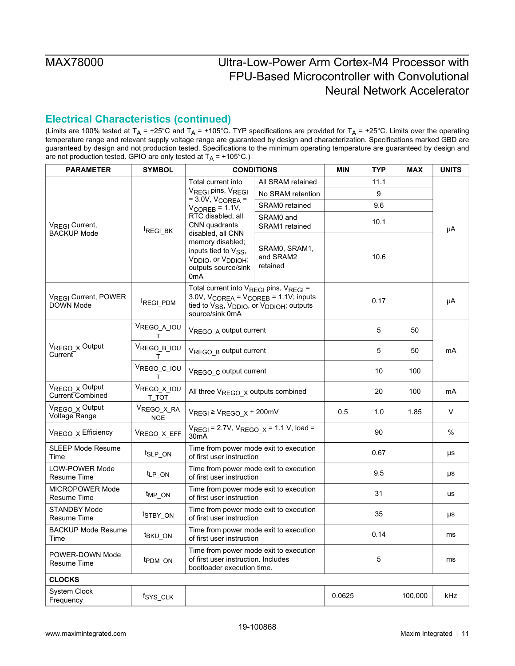## **Electrical Characteristics (continued)**

| <b>PARAMETER</b>                                     | <b>SYMBOL</b>            |                                                                                                                                                                     | <b>CONDITIONS</b>                                                                                                                                                                                           | <b>MIN</b> | <b>TYP</b> | <b>MAX</b> | <b>UNITS</b> |  |
|------------------------------------------------------|--------------------------|---------------------------------------------------------------------------------------------------------------------------------------------------------------------|-------------------------------------------------------------------------------------------------------------------------------------------------------------------------------------------------------------|------------|------------|------------|--------------|--|
|                                                      |                          | Total current into                                                                                                                                                  | All SRAM retained                                                                                                                                                                                           |            | 11.1       |            |              |  |
|                                                      |                          | VREGI pins, VREGI<br>$=$ 3.0V, V <sub>COREA</sub> $=$                                                                                                               | No SRAM retention                                                                                                                                                                                           |            | 9          |            |              |  |
| V <sub>REGI</sub> Current,                           |                          | $V_{\text{COREB}} = 1.1V,$                                                                                                                                          | SRAM0 retained                                                                                                                                                                                              |            | 9.6        |            |              |  |
|                                                      | REGI_BK                  | RTC disabled, all<br>CNN quadrants                                                                                                                                  | SRAM0 and<br>SRAM1 retained                                                                                                                                                                                 |            | 10.1       |            | μA           |  |
| <b>BACKUP Mode</b>                                   |                          | disabled, all CNN<br>memory disabled;<br>inputs tied to V <sub>SS</sub> ,<br>V <sub>DDIO</sub> , or V <sub>DDIOH</sub> ;<br>outputs source/sink<br>0 <sub>m</sub> A | SRAM0, SRAM1,<br>and SRAM2<br>retained                                                                                                                                                                      |            | 10.6       |            |              |  |
| V <sub>REGI</sub> Current, POWER<br><b>DOWN Mode</b> | REGI_PDM                 | source/sink 0mA                                                                                                                                                     | Total current into V <sub>REGI</sub> pins, V <sub>REGI</sub> =<br>$3.0V$ , $V_{COREA} = V_{COREB} = 1.1V$ ; inputs<br>0.17<br>tied to V <sub>SS</sub> , V <sub>DDIO</sub> , or V <sub>DDIOH</sub> , outputs |            |            | μA         |              |  |
|                                                      | VREGO_A_IOU<br>т         | VREGO A output current                                                                                                                                              |                                                                                                                                                                                                             |            | 5          | 50         | mA           |  |
| V <sub>REGO X</sub> Output<br>Current                | VREGO_B_IOU<br>т         | VREGO B output current                                                                                                                                              |                                                                                                                                                                                                             |            | 5          | 50         |              |  |
|                                                      | VREGO_C_IOU<br>т         | VREGO c output current                                                                                                                                              |                                                                                                                                                                                                             | 10         | 100        |            |              |  |
| V <sub>REGO X</sub> Output<br>Current Combined       | VREGO_X_IOU<br>T TOT     | All three V <sub>REGO</sub> x outputs combined                                                                                                                      |                                                                                                                                                                                                             | 20         | 100        | mA         |              |  |
| VREGO x Output<br>Voltage Range                      | VREGO_X_RA<br><b>NGE</b> | $V_{\text{REGI}} \geq V_{\text{REGO\_X}} + 200 \text{mV}$                                                                                                           |                                                                                                                                                                                                             | 0.5        | 1.0        | 1.85       | V            |  |
| V <sub>REGO X</sub> Efficiency                       | VREGO_X_EFF              | $V_{REGI} = 2.7V$ , $V_{REGO}$ $x = 1.1 V$ , load =<br>30 <sub>m</sub> A                                                                                            |                                                                                                                                                                                                             |            | 90         |            | $\%$         |  |
| <b>SLEEP Mode Resume</b><br>Time                     | t <sub>SLP_ON</sub>      | Time from power mode exit to execution<br>of first user instruction                                                                                                 |                                                                                                                                                                                                             |            | 0.67       |            | μs           |  |
| <b>LOW-POWER Mode</b><br><b>Resume Time</b>          | t <sub>LP_ON</sub>       | Time from power mode exit to execution<br>of first user instruction                                                                                                 |                                                                                                                                                                                                             |            | 9.5        |            | μs           |  |
| <b>MICROPOWER Mode</b><br>Resume Time                | $t_{MP_ON}$              | Time from power mode exit to execution<br>of first user instruction                                                                                                 |                                                                                                                                                                                                             |            | 31         |            | <b>us</b>    |  |
| <b>STANDBY Mode</b><br><b>Resume Time</b>            | t <sub>STBY_ON</sub>     | Time from power mode exit to execution<br>of first user instruction                                                                                                 |                                                                                                                                                                                                             |            | 35         |            | μs           |  |
| <b>BACKUP Mode Resume</b><br>Time                    | <sup>t</sup> BKU ON      | Time from power mode exit to execution<br>of first user instruction                                                                                                 |                                                                                                                                                                                                             |            | 0.14       |            | ms           |  |
| POWER-DOWN Mode<br><b>Resume Time</b>                | t <sub>PDM_ON</sub>      | Time from power mode exit to execution<br>of first user instruction. Includes<br>bootloader execution time.                                                         |                                                                                                                                                                                                             |            | 5          |            | ms           |  |
| <b>CLOCKS</b>                                        |                          |                                                                                                                                                                     |                                                                                                                                                                                                             |            |            |            |              |  |
| System Clock<br>Frequency                            | fsys_cLK                 |                                                                                                                                                                     |                                                                                                                                                                                                             | 0.0625     |            | 100,000    | kHz          |  |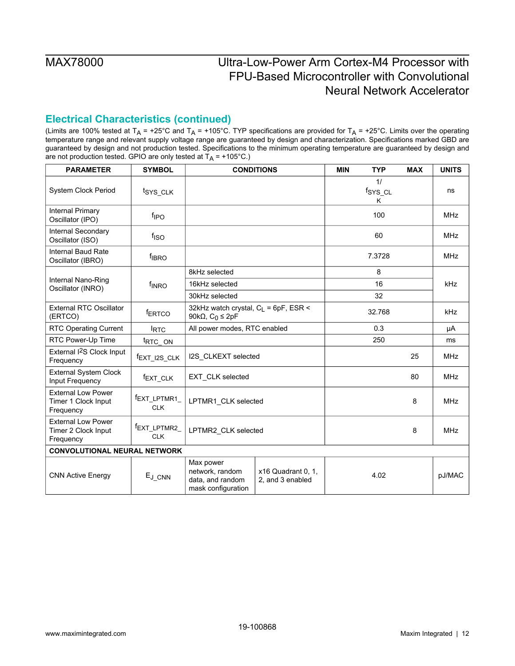## **Electrical Characteristics (continued)**

| <b>PARAMETER</b>                                              | <b>SYMBOL</b>              |                                                                        | <b>CONDITIONS</b>                                | <b>MIN</b> | <b>TYP</b>         | <b>MAX</b> | <b>UNITS</b> |
|---------------------------------------------------------------|----------------------------|------------------------------------------------------------------------|--------------------------------------------------|------------|--------------------|------------|--------------|
| System Clock Period                                           | tsys_cLK                   |                                                                        |                                                  |            | 1/<br>fsys_cL<br>Κ |            | ns           |
| <b>Internal Primary</b><br>Oscillator (IPO)                   | f <sub>IPO</sub>           |                                                                        |                                                  |            | 100                |            | <b>MHz</b>   |
| Internal Secondary<br>Oscillator (ISO)                        | f <sub>ISO</sub>           |                                                                        |                                                  |            | 60                 |            | <b>MHz</b>   |
| Internal Baud Rate<br>Oscillator (IBRO)                       | <b>f</b> <sub>IBRO</sub>   |                                                                        |                                                  |            | 7.3728             |            | <b>MHz</b>   |
|                                                               |                            | 8kHz selected                                                          |                                                  |            | 8                  |            |              |
| Internal Nano-Ring<br>Oscillator (INRO)                       | f <sub>INRO</sub>          | 16kHz selected                                                         |                                                  | 16         |                    | kHz        |              |
|                                                               |                            | 30kHz selected                                                         |                                                  | 32         |                    |            |              |
| <b>External RTC Oscillator</b><br>(ERTCO)                     | <b>fERTCO</b>              | 90k $\Omega$ , $C_0 \leq 2pF$                                          | 32kHz watch crystal, C <sub>L</sub> = 6pF, ESR < |            |                    |            | kHz          |
| <b>RTC Operating Current</b>                                  | <b>IRTC</b>                |                                                                        | All power modes, RTC enabled                     |            | 0.3                |            | μA           |
| RTC Power-Up Time                                             | t <sub>RTC</sub> ON        |                                                                        |                                                  |            | 250                |            | ms           |
| External I <sup>2</sup> S Clock Input<br>Frequency            | fEXT_I2S_CLK               | I2S_CLKEXT selected                                                    |                                                  |            |                    | 25         | <b>MHz</b>   |
| <b>External System Clock</b><br>Input Frequency               | f <sub>EXT_CLK</sub>       | EXT_CLK selected                                                       |                                                  |            |                    | 80         | <b>MHz</b>   |
| <b>External Low Power</b><br>Timer 1 Clock Input<br>Frequency | fEXT_LPTMR1_<br><b>CLK</b> | LPTMR1_CLK selected                                                    |                                                  |            |                    | 8          | <b>MHz</b>   |
| <b>External Low Power</b><br>Timer 2 Clock Input<br>Frequency | fEXT_LPTMR2_<br><b>CLK</b> | LPTMR2_CLK selected                                                    |                                                  |            |                    | 8          | <b>MHz</b>   |
| <b>CONVOLUTIONAL NEURAL NETWORK</b>                           |                            |                                                                        |                                                  |            |                    |            |              |
| <b>CNN Active Energy</b>                                      | $E_{J_CNN}$                | Max power<br>network, random<br>data, and random<br>mask configuration | x16 Quadrant 0, 1,<br>2, and 3 enabled           |            | 4.02               |            | pJ/MAC       |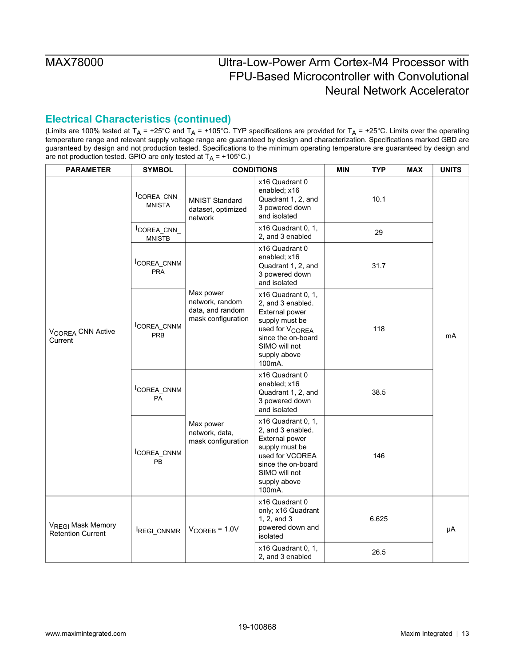## **Electrical Characteristics (continued)**

| <b>PARAMETER</b>                                          | <b>SYMBOL</b>               |                                                                        | <b>CONDITIONS</b>                                                                                                                                                           | <b>MIN</b><br><b>TYP</b> | <b>MAX</b> | <b>UNITS</b> |
|-----------------------------------------------------------|-----------------------------|------------------------------------------------------------------------|-----------------------------------------------------------------------------------------------------------------------------------------------------------------------------|--------------------------|------------|--------------|
|                                                           | COREA_CNN_<br><b>MNISTA</b> | <b>MNIST Standard</b><br>dataset, optimized<br>network                 | x16 Quadrant 0<br>enabled; x16<br>Quadrant 1, 2, and<br>3 powered down<br>and isolated                                                                                      | 10.1                     |            |              |
|                                                           | COREA_CNN_<br><b>MNISTB</b> |                                                                        | x16 Quadrant 0, 1,<br>2, and 3 enabled                                                                                                                                      | 29                       |            |              |
| V <sub>COREA</sub> CNN Active<br>Current                  | COREA_CNNM<br><b>PRA</b>    |                                                                        | x16 Quadrant 0<br>enabled; x16<br>Quadrant 1, 2, and<br>3 powered down<br>and isolated                                                                                      | 31.7                     |            |              |
|                                                           | COREA_CNNM<br><b>PRB</b>    | Max power<br>network, random<br>data, and random<br>mask configuration | x16 Quadrant 0, 1,<br>2, and 3 enabled.<br>External power<br>supply must be<br>used for V <sub>COREA</sub><br>since the on-board<br>SIMO will not<br>supply above<br>100mA. | 118                      |            | mA           |
|                                                           | COREA_CNNM<br><b>PA</b>     |                                                                        | x16 Quadrant 0<br>enabled; x16<br>Quadrant 1, 2, and<br>3 powered down<br>and isolated                                                                                      | 38.5                     |            |              |
|                                                           | COREA_CNNM<br><b>PB</b>     | Max power<br>network, data,<br>mask configuration                      | x16 Quadrant 0, 1,<br>2, and 3 enabled.<br>External power<br>supply must be<br>used for VCOREA<br>since the on-board<br>SIMO will not<br>supply above<br>100mA.             | 146                      |            |              |
| V <sub>REGI</sub> Mask Memory<br><b>Retention Current</b> | REGI_CNNMR                  | $V_{\text{COREB}} = 1.0V$                                              | x16 Quadrant 0<br>only; x16 Quadrant<br>1, 2, and 3<br>powered down and<br>isolated                                                                                         | 6.625                    |            |              |
|                                                           |                             |                                                                        | x16 Quadrant 0, 1,<br>2, and 3 enabled                                                                                                                                      | 26.5                     |            |              |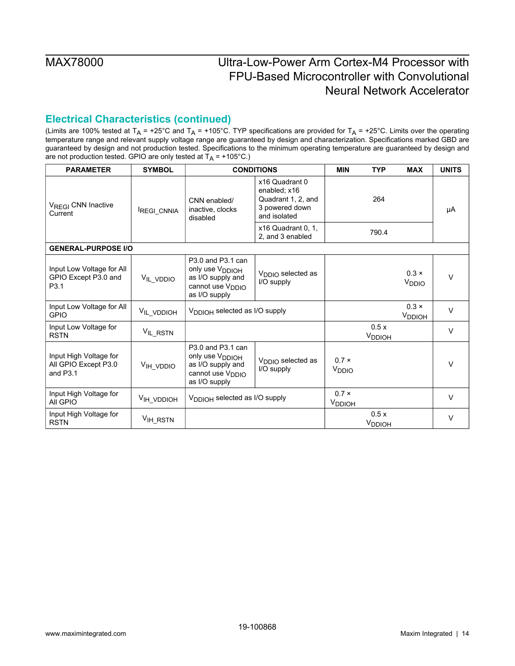## **Electrical Characteristics (continued)**

| <b>PARAMETER</b>                                             | <b>SYMBOL</b>        |                                                                                                                        | <b>CONDITIONS</b>                                                                      | <b>MIN</b>                         | <b>TYP</b>                 | <b>MAX</b>                         | <b>UNITS</b> |
|--------------------------------------------------------------|----------------------|------------------------------------------------------------------------------------------------------------------------|----------------------------------------------------------------------------------------|------------------------------------|----------------------------|------------------------------------|--------------|
| V <sub>REGI</sub> CNN Inactive<br>Current                    | REGI_CNNIA           | CNN enabled/<br>inactive, clocks<br>disabled                                                                           | x16 Quadrant 0<br>enabled; x16<br>Quadrant 1, 2, and<br>3 powered down<br>and isolated |                                    | 264                        |                                    | μA           |
|                                                              |                      |                                                                                                                        | x16 Quadrant 0, 1,<br>2. and 3 enabled                                                 |                                    | 790.4                      |                                    |              |
| <b>GENERAL-PURPOSE I/O</b>                                   |                      |                                                                                                                        |                                                                                        |                                    |                            |                                    |              |
| Input Low Voltage for All<br>GPIO Except P3.0 and<br>P3.1    | VIL_VDDIO            | P3.0 and P3.1 can<br>only use V <sub>DDIOH</sub><br>as I/O supply and<br>cannot use V <sub>DDIO</sub><br>as I/O supply | V <sub>DDIO</sub> selected as<br>I/O supply                                            |                                    |                            | $0.3 \times$<br>V <sub>DDIO</sub>  | $\vee$       |
| Input Low Voltage for All<br><b>GPIO</b>                     | VIL_VDDIOH           | V <sub>DDIOH</sub> selected as I/O supply                                                                              |                                                                                        |                                    |                            | $0.3 \times$<br>V <sub>DDIOH</sub> | $\vee$       |
| Input Low Voltage for<br><b>RSTN</b>                         | VIL_RSTN             |                                                                                                                        |                                                                                        |                                    | 0.5x<br>V <sub>DDIOH</sub> |                                    | $\vee$       |
| Input High Voltage for<br>All GPIO Except P3.0<br>and $P3.1$ | VIH VDDIO            | P3.0 and P3.1 can<br>only use V <sub>DDIOH</sub><br>as I/O supply and<br>cannot use V <sub>DDIO</sub><br>as I/O supply | V <sub>DDIO</sub> selected as<br>I/O supply                                            | $0.7 \times$<br>V <sub>DDIO</sub>  |                            |                                    | $\vee$       |
| Input High Voltage for<br>All GPIO                           | VIH VDDIOH           | V <sub>DDIOH</sub> selected as I/O supply                                                                              |                                                                                        | $0.7 \times$<br>V <sub>DDIOH</sub> |                            |                                    | V            |
| Input High Voltage for<br><b>RSTN</b>                        | V <sub>IH_RSTN</sub> |                                                                                                                        |                                                                                        |                                    | 0.5x<br>V <sub>DDIOH</sub> |                                    | $\vee$       |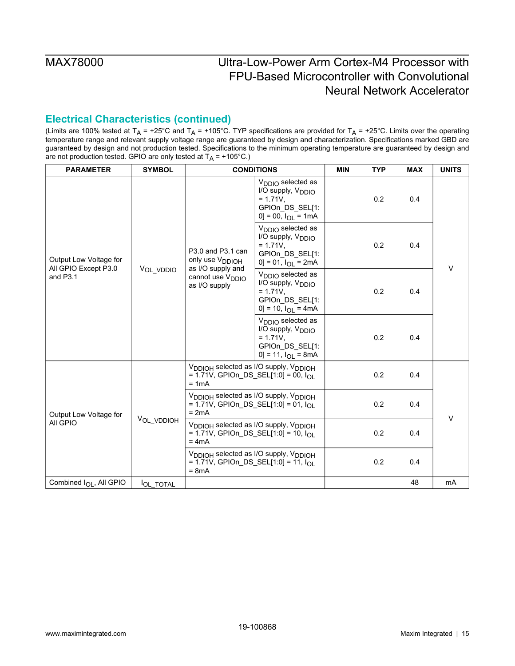## **Electrical Characteristics (continued)**

| <b>PARAMETER</b>                                           | <b>SYMBOL</b>   |                                                                                                                              | <b>CONDITIONS</b>                                                                                                                              | <b>MIN</b> | <b>TYP</b> | <b>MAX</b> | <b>UNITS</b> |
|------------------------------------------------------------|-----------------|------------------------------------------------------------------------------------------------------------------------------|------------------------------------------------------------------------------------------------------------------------------------------------|------------|------------|------------|--------------|
| Output Low Voltage for<br>All GPIO Except P3.0<br>and P3.1 | VOL VDDIO       | P3.0 and P3.1 can<br>only use V <sub>DDIOH</sub><br>as I/O supply and<br>cannot use V <sub>DDIO</sub><br>as I/O supply       | V <sub>DDIO</sub> selected as<br>I/O supply, V <sub>DDIO</sub><br>$= 1.71V$ .<br>GPIOn_DS_SEL[1:<br>$[0] = 00$ , $I_{\text{O}} = 1 \text{ mA}$ |            | 0.2        | 0.4        |              |
|                                                            |                 |                                                                                                                              | $V_{\text{DDIO}}$ selected as<br>I/O supply, V <sub>DDIO</sub><br>$= 1.71V,$<br>GPIOn DS_SEL[1:<br>$0$ ] = 01, $I_{OL}$ = 2mA                  |            | 0.2        | 0.4        | $\vee$       |
|                                                            |                 |                                                                                                                              | V <sub>DDIO</sub> selected as<br>I/O supply, V <sub>DDIO</sub><br>$= 1.71V,$<br>GPIOn DS_SEL[1:<br>$0$ ] = 10, $I_{OL}$ = 4mA                  |            | 0.2        | 0.4<br>0.4 |              |
|                                                            |                 |                                                                                                                              | V <sub>DDIO</sub> selected as<br>I/O supply, V <sub>DDIO</sub><br>$= 1.71V,$<br>GPIOn DS_SEL[1:<br>$0$ ] = 11, $I_{OL}$ = 8mA                  |            | 0.2        |            |              |
|                                                            |                 | V <sub>DDIOH</sub> selected as I/O supply, V <sub>DDIOH</sub><br>= 1.71V, GPIOn_DS_SEL[1:0] = 00, I <sub>OL</sub><br>$= 1mA$ |                                                                                                                                                |            | 0.2        | 0.4        |              |
| Output Low Voltage for<br>All GPIO                         |                 | V <sub>DDIOH</sub> selected as I/O supply, V <sub>DDIOH</sub><br>= 1.71V, GPIOn_DS_SEL[1:0] = 01, $I_{OL}$<br>$= 2mA$        |                                                                                                                                                |            | 0.2        | 0.4        | $\vee$       |
|                                                            | VOL_VDDIOH      | V <sub>DDIOH</sub> selected as I/O supply, V <sub>DDIOH</sub><br>$= 1.71V$ , GPIOn_DS_SEL[1:0] = 10, $I_{\Omega}$<br>$= 4mA$ |                                                                                                                                                |            | 0.2        | 0.4        |              |
|                                                            |                 | V <sub>DDIOH</sub> selected as I/O supply, V <sub>DDIOH</sub><br>= 1.71V, GPIOn_DS_SEL[1:0] = 11, $I_{OL}$<br>$= 8mA$        |                                                                                                                                                |            | 0.2        | 0.4        |              |
| Combined I <sub>OL</sub> , All GPIO                        | <b>OL TOTAL</b> |                                                                                                                              |                                                                                                                                                |            |            | 48         | mA           |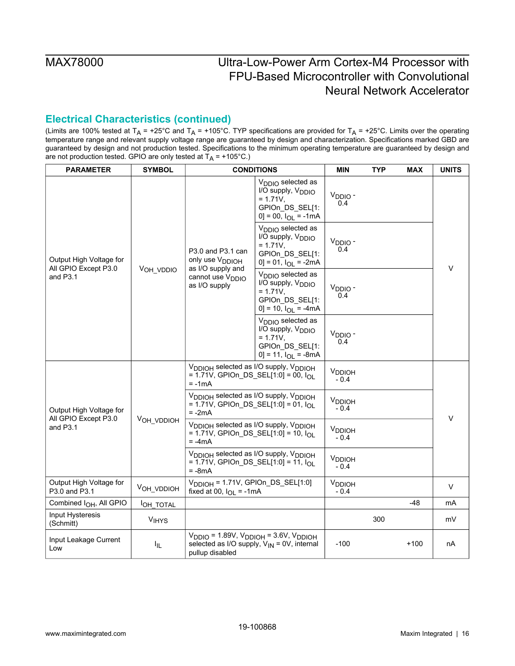## **Electrical Characteristics (continued)**

| <b>PARAMETER</b>                                            | <b>SYMBOL</b>         | <b>CONDITIONS</b>                                                                                                      |                                                                                                                                 | <b>MIN</b>                          | <b>TYP</b> | <b>MAX</b> | <b>UNITS</b> |
|-------------------------------------------------------------|-----------------------|------------------------------------------------------------------------------------------------------------------------|---------------------------------------------------------------------------------------------------------------------------------|-------------------------------------|------------|------------|--------------|
| Output High Voltage for<br>All GPIO Except P3.0<br>and P3.1 |                       |                                                                                                                        | $V_{\text{DDIO}}$ selected as<br>I/O supply, V <sub>DDIO</sub><br>$= 1.71V,$<br>GPIOn DS_SEL[1:<br>$[0] = 00$ , $I_{OL} = -1mA$ | V <sub>DDIO</sub> -<br>0.4          |            |            |              |
|                                                             |                       | P3.0 and P3.1 can<br>only use V <sub>DDIOH</sub><br>as I/O supply and<br>cannot use V <sub>DDIO</sub><br>as I/O supply | V <sub>DDIO</sub> selected as<br>I/O supply, V <sub>DDIO</sub><br>$= 1.71V,$<br>GPIOn DS_SEL[1:<br>$0$ ] = 01, $I_{OL}$ = -2mA  | $VDDIO$ -<br>0.4                    |            |            | $\vee$       |
|                                                             | VOH_VDDIO             |                                                                                                                        | V <sub>DDIO</sub> selected as<br>I/O supply, V <sub>DDIO</sub><br>$= 1.71V,$<br>GPIOn_DS_SEL[1:<br>$0] = 10$ , $I_{OL} = -4mA$  | V <sub>DDIO</sub> -<br>0.4          |            |            |              |
|                                                             |                       |                                                                                                                        | V <sub>DDIO</sub> selected as<br>I/O supply, V <sub>DDIO</sub><br>$= 1.71V,$<br>GPIOn DS_SEL[1:<br>$0$ ] = 11, $I_{OL}$ = -8mA  | V <sub>DDIO</sub> -<br>0.4          |            |            |              |
|                                                             |                       | V <sub>DDIOH</sub> selected as I/O supply, V <sub>DDIOH</sub><br>= 1.71V, GPIOn_DS_SEL[1:0] = 00, $I_{OL}$<br>$= -1mA$ |                                                                                                                                 | V <sub>DDIOH</sub><br>$-0.4$        |            |            |              |
| Output High Voltage for<br>All GPIO Except P3.0             |                       | V <sub>DDIOH</sub> selected as I/O supply, V <sub>DDIOH</sub><br>= 1.71V, GPIOn_DS_SEL[1:0] = 01, $I_{OL}$<br>$= -2mA$ |                                                                                                                                 | <b>V</b> <sub>DDIOH</sub><br>$-0.4$ |            |            | V            |
| and P <sub>3.1</sub>                                        | VOH_VDDIOH            | V <sub>DDIOH</sub> selected as I/O supply, V <sub>DDIOH</sub><br>= 1.71V, GPIOn_DS_SEL[1:0] = 10, $I_{OL}$<br>$= -4mA$ |                                                                                                                                 | V <sub>DDIOH</sub><br>$-0.4$        |            |            |              |
|                                                             |                       | V <sub>DDIOH</sub> selected as I/O supply, V <sub>DDIOH</sub><br>= 1.71V, GPIOn_DS_SEL[1:0] = 11, $I_{OL}$<br>$= -8mA$ |                                                                                                                                 | V <sub>DDIOH</sub><br>$-0.4$        |            |            |              |
| Output High Voltage for<br>P3.0 and P3.1                    | VOH_VDDIOH            | $V_{DDIOH}$ = 1.71V, GPIOn_DS_SEL[1:0]<br>fixed at 00, $I_{OL}$ = -1mA                                                 |                                                                                                                                 | V <sub>DDIOH</sub><br>$-0.4$        |            |            | V            |
| Combined I <sub>OH</sub> , All GPIO                         | OH_TOTAL              |                                                                                                                        |                                                                                                                                 |                                     |            | -48        | mA           |
| Input Hysteresis<br>(Schmitt)                               | <b>VIHYS</b>          |                                                                                                                        |                                                                                                                                 |                                     | 300        |            | mV           |
| Input Leakage Current<br>Low                                | <b>I<sub>IL</sub></b> | $V_{\text{DDIO}}$ = 1.89V, $V_{\text{DDIOH}}$ = 3.6V, $V_{\text{DDIOH}}$<br>pullup disabled                            | selected as I/O supply, $V_{IN} = 0V$ , internal                                                                                | $-100$                              |            | $+100$     | nA           |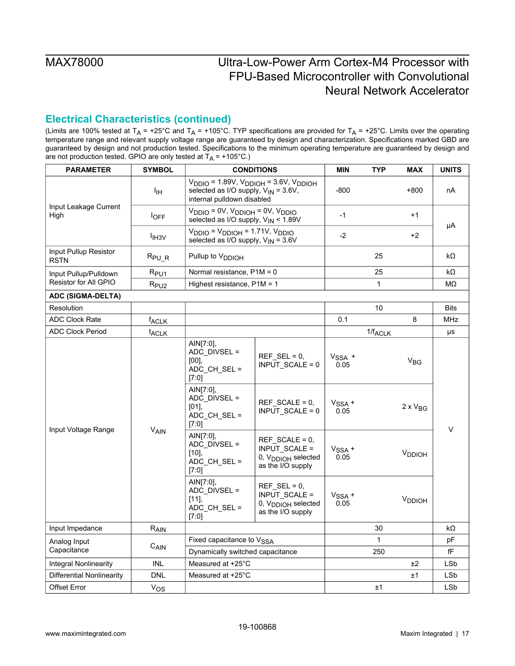## **Electrical Characteristics (continued)**

| <b>PARAMETER</b>                     | <b>SYMBOL</b>             |                                                                                                    | <b>CONDITIONS</b>                                                                        | <b>MIN</b>       | <b>TYP</b>          | <b>MAX</b>         | <b>UNITS</b> |
|--------------------------------------|---------------------------|----------------------------------------------------------------------------------------------------|------------------------------------------------------------------------------------------|------------------|---------------------|--------------------|--------------|
|                                      | ŀщ                        | selected as I/O supply, $V_{IN} = 3.6V$ ,<br>internal pulldown disabled                            | $V_{DDIO}$ = 1.89V, $V_{DDIOH}$ = 3.6V, $V_{DDIOH}$                                      | $-800$           |                     | $+800$             | nA           |
| Input Leakage Current<br>High        | $I_{\text{OFF}}$          | $V_{DDIO} = 0V$ , $V_{DDIOH} = 0V$ , $V_{DDIO}$<br>selected as I/O supply, V <sub>IN</sub> < 1.89V |                                                                                          | $-1$             |                     | $+1$               |              |
|                                      | <b>I</b> IH <sub>3V</sub> | $VDDIO = VDDIOH = 1.71V, VDDIO$<br>selected as I/O supply, $V_{IN} = 3.6V$                         |                                                                                          | $-2$             |                     | $+2$               | μA           |
| Input Pullup Resistor<br><b>RSTN</b> | R <sub>PUR</sub>          | Pullup to V <sub>DDIOH</sub>                                                                       |                                                                                          |                  | 25                  |                    | kΩ           |
| Input Pullup/Pulldown                | $R_{PU1}$                 | Normal resistance, $P1M = 0$                                                                       |                                                                                          |                  | 25                  |                    | kΩ           |
| Resistor for All GPIO                | $R_{PU2}$                 | Highest resistance, $P1M = 1$                                                                      |                                                                                          |                  | $\mathbf{1}$        |                    | MΩ           |
| <b>ADC (SIGMA-DELTA)</b>             |                           |                                                                                                    |                                                                                          |                  |                     |                    |              |
| Resolution                           |                           |                                                                                                    |                                                                                          |                  | 10                  |                    | <b>Bits</b>  |
| <b>ADC Clock Rate</b>                | <b>f<sub>ACLK</sub></b>   |                                                                                                    |                                                                                          | 0.1              |                     | 8                  | <b>MHz</b>   |
| <b>ADC Clock Period</b>              | t <sub>ACLK</sub>         |                                                                                                    |                                                                                          |                  | $1/f_{\text{ACLK}}$ |                    | μs           |
|                                      |                           | AIN[7:0],<br>ADC_DIVSEL =<br>[00]<br>ADC_CH_SEL =<br>[7:0]                                         | REF SEL = $0$ .<br>$INPUT$ SCALE = 0                                                     | $VSSA$ +<br>0.05 |                     | $V_{BG}$           |              |
| Input Voltage Range                  |                           | AIN[7:0],<br>ADC_DIVSEL =<br>[01]<br>ADC_CH_SEL =<br>[7:0]                                         | $REF$ SCALE = 0,<br>INPUT_SCALE = 0                                                      | $VSSA +$<br>0.05 |                     | $2 \times V_{BG}$  | $\vee$       |
|                                      | VAIN                      | AIN[7:0].<br>ADC_DIVSEL =<br>$[10]$ ,<br>ADC_CH_SEL =<br>$[7.0]$                                   | $REF$ SCALE = 0,<br>INPUT_SCALE =<br>0, V <sub>DDIOH</sub> selected<br>as the I/O supply | $VSSA +$<br>0.05 |                     | V <sub>DDIOH</sub> |              |
|                                      |                           | AIN[7:0],<br>ADC_DIVSEL =<br>[11]<br>ADC_CH_SEL =<br>[7:0]                                         | REF SEL = $0$ ,<br>INPUT_SCALE =<br>0, V <sub>DDIOH</sub> selected<br>as the I/O supply  | $VSSA +$<br>0.05 |                     | V <sub>DDIOH</sub> |              |
| Input Impedance                      | R <sub>AIN</sub>          |                                                                                                    |                                                                                          |                  | 30                  |                    | kΩ           |
| Analog Input                         |                           | Fixed capacitance to V <sub>SSA</sub>                                                              |                                                                                          |                  | $\mathbf{1}$        |                    | pF           |
| Capacitance                          | CAIN                      | Dynamically switched capacitance                                                                   |                                                                                          |                  | 250                 |                    | fF           |
| <b>Integral Nonlinearity</b>         | INL                       | Measured at +25°C                                                                                  |                                                                                          |                  |                     | ±2                 | <b>LSb</b>   |
| Differential Nonlinearity            | <b>DNL</b>                | Measured at $+25^{\circ}$ C                                                                        |                                                                                          |                  |                     | ±1                 | LSb          |
| <b>Offset Error</b>                  | $V_{OS}$                  |                                                                                                    |                                                                                          |                  | ±1                  |                    | LSb          |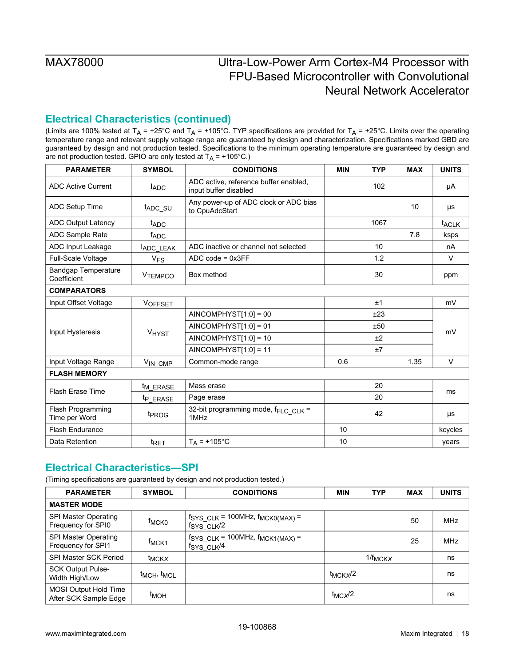## **Electrical Characteristics (continued)**

(Limits are 100% tested at T<sub>A</sub> = +25°C and T<sub>A</sub> = +105°C. TYP specifications are provided for T<sub>A</sub> = +25°C. Limits over the operating temperature range and relevant supply voltage range are guaranteed by design and characterization. Specifications marked GBD are guaranteed by design and not production tested. Specifications to the minimum operating temperature are guaranteed by design and are not production tested. GPIO are only tested at  $T_A$  = +105°C.)

| <b>PARAMETER</b>                          | <b>SYMBOL</b>        | <b>CONDITIONS</b>                                              | <b>MIN</b> | <b>TYP</b> | <b>MAX</b> | <b>UNITS</b>            |
|-------------------------------------------|----------------------|----------------------------------------------------------------|------------|------------|------------|-------------------------|
| <b>ADC Active Current</b>                 | <b>ADC</b>           | ADC active, reference buffer enabled,<br>input buffer disabled |            | 102        |            | μA                      |
| ADC Setup Time                            | t <sub>ADC_SU</sub>  | Any power-up of ADC clock or ADC bias<br>to CpuAdcStart        |            |            | 10         | μs                      |
| <b>ADC Output Latency</b>                 | t <sub>ADC</sub>     |                                                                |            | 1067       |            | <b>t<sub>ACLK</sub></b> |
| <b>ADC Sample Rate</b>                    | fADC                 |                                                                |            |            | 7.8        | ksps                    |
| ADC Input Leakage                         | ADC LEAK             | ADC inactive or channel not selected                           |            | 10         |            | nA                      |
| <b>Full-Scale Voltage</b>                 | $V_{FS}$             | $ADC code = 0x3FF$                                             |            | 1.2        |            | $\vee$                  |
| <b>Bandgap Temperature</b><br>Coefficient | <b>VTEMPCO</b>       | Box method                                                     |            | 30         |            | ppm                     |
| <b>COMPARATORS</b>                        |                      |                                                                |            |            |            |                         |
| Input Offset Voltage                      | VOFFSET              |                                                                |            | ±1         |            | mV                      |
|                                           | VHYST                | $AINCOMPHYST[1:0] = 00$                                        |            | ±23        |            |                         |
|                                           |                      | $AINCOMPHYST[1:0] = 01$                                        |            | ±50        |            |                         |
| Input Hysteresis                          |                      | $AINCOMPHYST[1:0] = 10$                                        |            | ±2         |            | mV                      |
|                                           |                      | $AINCOMPHYST[1:0] = 11$                                        |            | ±7         |            |                         |
| Input Voltage Range                       | VIN CMP              | Common-mode range                                              | 0.6        |            | 1.35       | $\vee$                  |
| <b>FLASH MEMORY</b>                       |                      |                                                                |            |            |            |                         |
|                                           | t <sub>M_ERASE</sub> | Mass erase                                                     |            | 20         |            |                         |
| <b>Flash Erase Time</b>                   | t <sub>P</sub> ERASE | Page erase                                                     |            | 20         |            | ms                      |
| Flash Programming<br>Time per Word        | t <sub>PROG</sub>    | 32-bit programming mode, fFLC CLK =<br>1MHz                    |            | 42         |            | μs                      |
| <b>Flash Endurance</b>                    |                      |                                                                | 10         |            |            | kcycles                 |
| Data Retention                            | t <sub>RET</sub>     | $T_A = +105^{\circ}C$                                          | 10         |            |            | years                   |

## <span id="page-17-0"></span>**Electrical Characteristics—SPI**

| <b>PARAMETER</b>                                      | <b>SYMBOL</b>                       | <b>CONDITIONS</b>                                                                   | <b>MIN</b>           | <b>TYP</b>   | <b>MAX</b> | <b>UNITS</b> |
|-------------------------------------------------------|-------------------------------------|-------------------------------------------------------------------------------------|----------------------|--------------|------------|--------------|
| <b>MASTER MODE</b>                                    |                                     |                                                                                     |                      |              |            |              |
| SPI Master Operating<br>Frequency for SPI0            | <sup>†</sup> MCK0                   | $f_{\text{SYS CLK}}$ = 100MHz, $f_{\text{MCKO(MAX)}}$ =<br>$fSYS$ CLK $/2$          |                      |              | 50         | <b>MHz</b>   |
| SPI Master Operating<br>Frequency for SPI1            | f <sub>MCK1</sub>                   | $f_{\text{SYS CLK}}$ = 100MHz, $f_{\text{MCK1(MAX)}}$ =<br>$fSYS$ CLK <sup>/4</sup> |                      |              | 25         | <b>MHz</b>   |
| <b>SPI Master SCK Period</b>                          | <sup>t</sup> MCKX                   |                                                                                     |                      | $1/f_{MCKX}$ |            | ns           |
| <b>SCK Output Pulse-</b><br>Width High/Low            | t <sub>MCH</sub> , t <sub>MCL</sub> |                                                                                     | t <sub>MCKX</sub> /2 |              |            | ns           |
| <b>MOSI Output Hold Time</b><br>After SCK Sample Edge | t <sub>MOH</sub>                    |                                                                                     | $t_{MC}$ $\times$ /2 |              |            | ns           |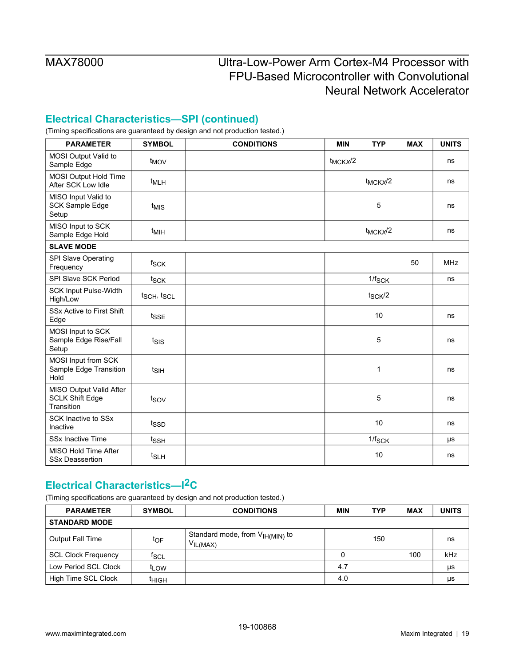## **Electrical Characteristics—SPI (continued)**

(Timing specifications are guaranteed by design and not production tested.)

| <b>PARAMETER</b>                                                | <b>SYMBOL</b>    | <b>CONDITIONS</b> | <b>MIN</b>   | <b>TYP</b>   | <b>MAX</b> | <b>UNITS</b> |
|-----------------------------------------------------------------|------------------|-------------------|--------------|--------------|------------|--------------|
| MOSI Output Valid to<br>Sample Edge                             | t <sub>MOV</sub> |                   | $t_{MCKX}/2$ |              |            | ns           |
| MOSI Output Hold Time<br>After SCK Low Idle                     | t <sub>MLH</sub> |                   |              | $t_{MCKX}/2$ |            | ns           |
| MISO Input Valid to<br><b>SCK Sample Edge</b><br>Setup          | t <sub>MIS</sub> |                   |              | 5            |            | ns           |
| MISO Input to SCK<br>Sample Edge Hold                           | $t_{\text{MIH}}$ |                   |              | $t_{MCKX}/2$ |            | ns           |
| <b>SLAVE MODE</b>                                               |                  |                   |              |              |            |              |
| SPI Slave Operating<br>Frequency                                | fsck             |                   |              |              | 50         | <b>MHz</b>   |
| SPI Slave SCK Period                                            | tsck             |                   |              | $1/f_{SCK}$  |            | ns           |
| <b>SCK Input Pulse-Width</b><br>High/Low                        | tsch, tscl       |                   |              | $t_{SCK}/2$  |            |              |
| SSx Active to First Shift<br>Edge                               | t <sub>SSE</sub> |                   |              | 10           |            | ns           |
| MOSI Input to SCK<br>Sample Edge Rise/Fall<br>Setup             | $t_{\text{SIS}}$ |                   |              | 5            |            | ns           |
| MOSI Input from SCK<br>Sample Edge Transition<br>Hold           | $t_{\text{SIH}}$ |                   |              | $\mathbf 1$  |            | ns           |
| MISO Output Valid After<br><b>SCLK Shift Edge</b><br>Transition | tsov             |                   |              | 5            |            | ns           |
| <b>SCK Inactive to SSx</b><br>Inactive                          | tssp             |                   |              | 10           |            | ns           |
| <b>SSx Inactive Time</b>                                        | t <sub>SSH</sub> |                   |              | $1/f_{SCK}$  |            | μs           |
| MISO Hold Time After<br><b>SSx Deassertion</b>                  | t <sub>SLH</sub> |                   |              | 10           |            | ns           |

## <span id="page-18-0"></span>**Electrical Characteristics—I2C**

| <b>PARAMETER</b>           | <b>SYMBOL</b>    | <b>CONDITIONS</b>                                    | <b>MIN</b> | <b>TYP</b> | <b>MAX</b> | <b>UNITS</b> |
|----------------------------|------------------|------------------------------------------------------|------------|------------|------------|--------------|
| <b>STANDARD MODE</b>       |                  |                                                      |            |            |            |              |
| Output Fall Time           | toF              | Standard mode, from $V_{H(MIN)}$ to<br>$V_{IL(MAX)}$ |            | 150        |            | ns           |
| <b>SCL Clock Frequency</b> | <sup>†</sup> SCL |                                                      | 0          |            | 100        | kHz          |
| Low Period SCL Clock       | t <sub>LOW</sub> |                                                      | 4.7        |            |            | μs           |
| High Time SCL Clock        | ініgн            |                                                      | 4.0        |            |            | μs           |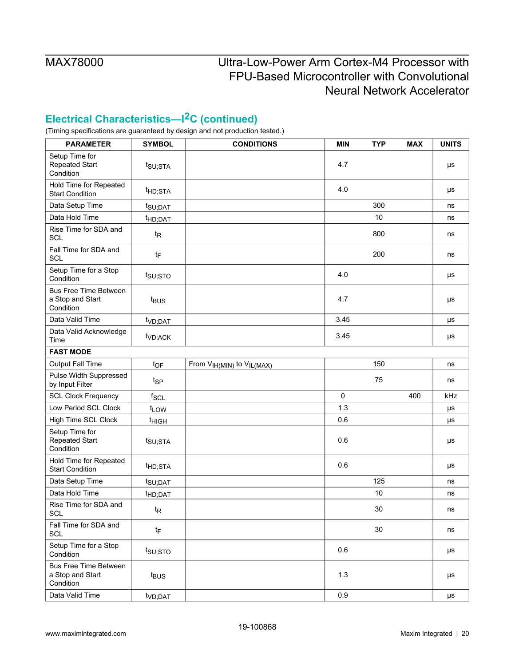## **Electrical Characteristics—I2C (continued)**

| <b>PARAMETER</b>                                              | <b>SYMBOL</b>       | <b>CONDITIONS</b>                                 | <b>MIN</b>  | <b>TYP</b> | <b>MAX</b> | <b>UNITS</b>  |
|---------------------------------------------------------------|---------------------|---------------------------------------------------|-------------|------------|------------|---------------|
| Setup Time for<br><b>Repeated Start</b><br>Condition          | $t_{\text{SU;STA}}$ |                                                   | 4.7         |            |            | $\mu\text{s}$ |
| Hold Time for Repeated<br><b>Start Condition</b>              | t <sub>HD;STA</sub> |                                                   | 4.0         |            |            | μs            |
| Data Setup Time                                               | t <sub>SU;DAT</sub> |                                                   |             | 300        |            | ns            |
| Data Hold Time                                                | t <sub>HD;DAT</sub> |                                                   |             | 10         |            | ns            |
| Rise Time for SDA and<br><b>SCL</b>                           | $t_{\mathsf{R}}$    |                                                   |             | 800        |            | ns            |
| Fall Time for SDA and<br>SCL                                  | tF                  |                                                   |             | 200        |            | ns            |
| Setup Time for a Stop<br>Condition                            | t <sub>su;sto</sub> |                                                   | 4.0         |            |            | μs            |
| <b>Bus Free Time Between</b><br>a Stop and Start<br>Condition | t <sub>BUS</sub>    |                                                   | 4.7         |            |            | μs            |
| Data Valid Time                                               | t <sub>VD;DAT</sub> |                                                   | 3.45        |            |            | $\mu s$       |
| Data Valid Acknowledge<br>Time                                | t <sub>VD;ACK</sub> |                                                   | 3.45        |            |            | μs            |
| <b>FAST MODE</b>                                              |                     |                                                   |             |            |            |               |
| Output Fall Time                                              | $t_{OF}$            | From V <sub>IH(MIN)</sub> to V <sub>IL(MAX)</sub> |             | 150        |            | ns            |
| Pulse Width Suppressed<br>by Input Filter                     | t <sub>SP</sub>     |                                                   |             | 75         |            | ns            |
| <b>SCL Clock Frequency</b>                                    | $f_{SCL}$           |                                                   | $\mathbf 0$ |            | 400        | kHz           |
| Low Period SCL Clock                                          | t <sub>LOW</sub>    |                                                   | 1.3         |            |            | μs            |
| High Time SCL Clock                                           | <sup>t</sup> HIGH   |                                                   | 0.6         |            |            | $\mu s$       |
| Setup Time for<br><b>Repeated Start</b><br>Condition          | t <sub>SU;STA</sub> |                                                   | 0.6         |            |            | μs            |
| Hold Time for Repeated<br><b>Start Condition</b>              | t <sub>HD;STA</sub> |                                                   | 0.6         |            |            | μs            |
| Data Setup Time                                               | $t_{\text{SU;DAT}}$ |                                                   |             | 125        |            | ns            |
| Data Hold Time                                                | t <sub>HD;DAT</sub> |                                                   |             | 10         |            | ns            |
| Rise Time for SDA and<br>SCL                                  | $t_{\mathsf{R}}$    |                                                   |             | 30         |            | ns            |
| Fall Time for SDA and<br>SCL                                  | tF                  |                                                   |             | 30         |            | ns            |
| Setup Time for a Stop<br>Condition                            | $t_{\text{SU;STO}}$ |                                                   | 0.6         |            |            | μs            |
| <b>Bus Free Time Between</b><br>a Stop and Start<br>Condition | t <sub>BUS</sub>    |                                                   | 1.3         |            |            | μs            |
| Data Valid Time                                               | t <sub>VD;DAT</sub> |                                                   | 0.9         |            |            | μs            |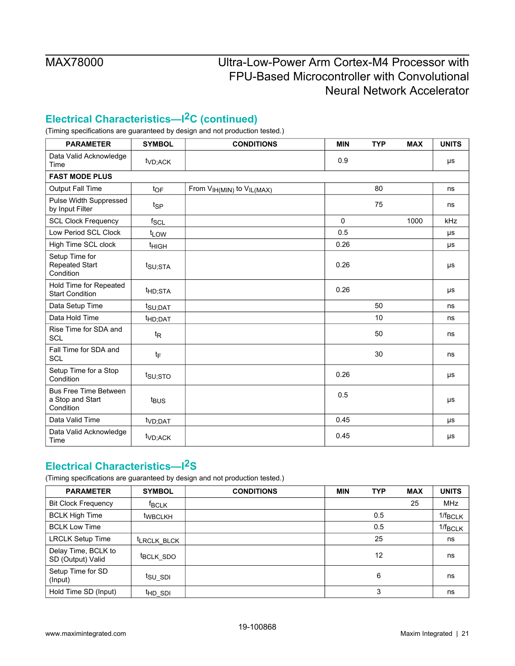## **Electrical Characteristics—I2C (continued)**

(Timing specifications are guaranteed by design and not production tested.)

| <b>PARAMETER</b>                                              | <b>SYMBOL</b>       | <b>CONDITIONS</b>                   | <b>MIN</b>  | <b>TYP</b> | <b>MAX</b> | <b>UNITS</b> |
|---------------------------------------------------------------|---------------------|-------------------------------------|-------------|------------|------------|--------------|
| Data Valid Acknowledge<br>Time                                | t <sub>VD;ACK</sub> |                                     | 0.9         |            |            | μs           |
| <b>FAST MODE PLUS</b>                                         |                     |                                     |             |            |            |              |
| <b>Output Fall Time</b>                                       | $t_{OF}$            | From $V_{IH(MIN)}$ to $V_{IL(MAX)}$ |             | 80         |            | ns           |
| Pulse Width Suppressed<br>by Input Filter                     | t <sub>SP</sub>     |                                     |             | 75         |            | ns           |
| <b>SCL Clock Frequency</b>                                    | $f_{SCL}$           |                                     | $\mathbf 0$ |            | 1000       | kHz          |
| Low Period SCL Clock                                          | t <sub>LOW</sub>    |                                     | 0.5         |            |            | μs           |
| High Time SCL clock                                           | <sup>t</sup> HIGH   |                                     | 0.26        |            |            | μs           |
| Setup Time for<br>Repeated Start<br>Condition                 | $t_{\text{SU;STA}}$ |                                     | 0.26        |            |            | μs           |
| Hold Time for Repeated<br><b>Start Condition</b>              | t <sub>HD;STA</sub> |                                     | 0.26        |            |            | μs           |
| Data Setup Time                                               | t <sub>SU;DAT</sub> |                                     |             | 50         |            | ns           |
| Data Hold Time                                                | t <sub>HD;DAT</sub> |                                     |             | 10         |            | ns           |
| Rise Time for SDA and<br><b>SCL</b>                           | $t_{\mathsf{R}}$    |                                     |             | 50         |            | ns           |
| Fall Time for SDA and<br>SCL                                  | $t_{\mathsf{F}}$    |                                     |             | 30         |            | ns           |
| Setup Time for a Stop<br>Condition                            | t <sub>su;sto</sub> |                                     | 0.26        |            |            | μs           |
| <b>Bus Free Time Between</b><br>a Stop and Start<br>Condition | t <sub>BUS</sub>    |                                     | 0.5         |            |            | μs           |
| Data Valid Time                                               | t <sub>VD;DAT</sub> |                                     | 0.45        |            |            | μs           |
| Data Valid Acknowledge<br>Time                                | t <sub>VD;ACK</sub> |                                     | 0.45        |            |            | μs           |

# <span id="page-20-0"></span>**Electrical Characteristics—I2S**

| <b>PARAMETER</b>                         | <b>SYMBOL</b>          | <b>CONDITIONS</b> | <b>MIN</b> | <b>TYP</b> | <b>MAX</b> | <b>UNITS</b>        |
|------------------------------------------|------------------------|-------------------|------------|------------|------------|---------------------|
| <b>Bit Clock Frequency</b>               | <sup>f</sup> BCLK      |                   |            |            | 25         | <b>MHz</b>          |
| <b>BCLK High Time</b>                    | <b>WBCLKH</b>          |                   |            | 0.5        |            | $1/f_{BCLK}$        |
| <b>BCLK Low Time</b>                     |                        |                   |            | 0.5        |            | $1/f_{\text{BCLK}}$ |
| <b>LRCLK Setup Time</b>                  | <b>LRCLK BLCK</b>      |                   |            | 25         |            | ns                  |
| Delay Time, BCLK to<br>SD (Output) Valid | t <sub>BCLK</sub> _SDO |                   |            | 12         |            | ns                  |
| Setup Time for SD<br>(Input)             | tsu sdi                |                   |            | 6          |            | ns                  |
| Hold Time SD (Input)                     | <sup>t</sup> HD_SDI    |                   |            | 3          |            | ns                  |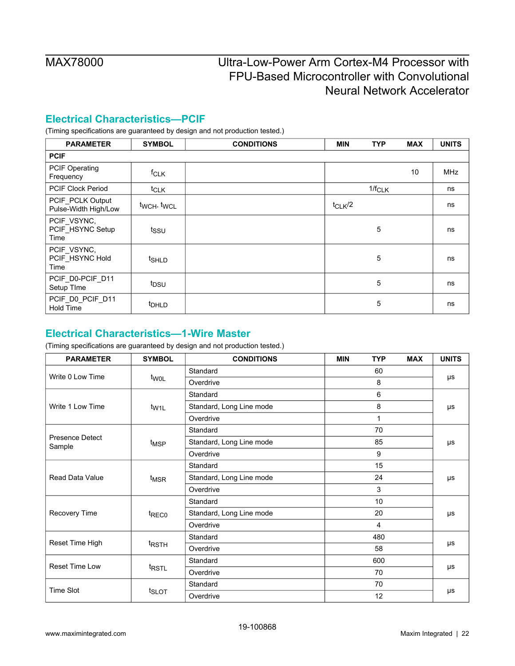## <span id="page-21-0"></span>**Electrical Characteristics—PCIF**

(Timing specifications are guaranteed by design and not production tested.)

| <b>PARAMETER</b>                         | <b>SYMBOL</b>     | <b>CONDITIONS</b> | <b>MIN</b>  | <b>TYP</b>  | <b>MAX</b> | <b>UNITS</b> |
|------------------------------------------|-------------------|-------------------|-------------|-------------|------------|--------------|
| <b>PCIF</b>                              |                   |                   |             |             |            |              |
| PCIF Operating<br>Frequency              | f <sub>CLK</sub>  |                   |             |             | 10         | <b>MHz</b>   |
| <b>PCIF Clock Period</b>                 | $t_{CLK}$         |                   |             | $1/f_{CLK}$ |            | ns           |
| PCIF_PCLK Output<br>Pulse-Width High/Low | twch, twcL        |                   | $t_{CLK}/2$ |             |            | ns           |
| PCIF_VSYNC,<br>PCIF_HSYNC Setup<br>Time  | tssu              |                   |             | 5           |            | ns           |
| PCIF_VSYNC,<br>PCIF_HSYNC Hold<br>Time   | t <sub>SHLD</sub> |                   |             | 5           |            | ns           |
| PCIF_D0-PCIF_D11<br>Setup TIme           | t <sub>DSU</sub>  |                   |             | 5           |            | ns           |
| PCIF_D0_PCIF_D11<br><b>Hold Time</b>     | t <sub>DHLD</sub> |                   |             | 5           |            | ns           |

### <span id="page-21-1"></span>**Electrical Characteristics—1-Wire Master**

| <b>PARAMETER</b>                 | <b>SYMBOL</b>     | <b>TYP</b><br><b>CONDITIONS</b><br><b>MIN</b> |     | <b>MAX</b>     | <b>UNITS</b> |    |
|----------------------------------|-------------------|-----------------------------------------------|-----|----------------|--------------|----|
| Write 0 Low Time                 |                   | Standard                                      |     | 60             |              | μs |
|                                  | t <sub>WOL</sub>  | Overdrive                                     |     | 8              |              |    |
|                                  |                   | Standard                                      |     | 6              |              |    |
| Write 1 Low Time                 | t <sub>W1L</sub>  | 8<br>Standard, Long Line mode                 |     |                |              | μs |
|                                  |                   | Overdrive                                     |     | 1              |              |    |
|                                  |                   | Standard                                      |     | 70             |              |    |
| <b>Presence Detect</b><br>Sample | t <sub>MSP</sub>  | Standard, Long Line mode                      |     | 85             |              | μs |
|                                  |                   | Overdrive                                     |     | 9              |              |    |
|                                  | t <sub>MSR</sub>  | Standard                                      | 15  |                |              |    |
| Read Data Value                  |                   | 24<br>Standard, Long Line mode                |     |                |              | μs |
|                                  |                   | Overdrive                                     | 3   |                |              |    |
|                                  |                   | Standard                                      |     | 10             |              |    |
| Recovery Time                    | t <sub>REC0</sub> | Standard, Long Line mode                      |     | 20             |              | μs |
|                                  |                   | Overdrive                                     |     | $\overline{4}$ |              |    |
|                                  |                   | Standard                                      |     | 480            |              |    |
| Reset Time High                  | <sup>t</sup> RSTH | Overdrive                                     |     | 58             |              | μs |
| <b>Reset Time Low</b>            |                   | Standard                                      | 600 |                |              |    |
|                                  | t <sub>RSTL</sub> | Overdrive                                     | 70  |                |              | μs |
| <b>Time Slot</b>                 |                   | Standard<br>70                                |     |                |              |    |
|                                  | t <sub>SLOT</sub> | 12<br>Overdrive                               |     |                |              | μs |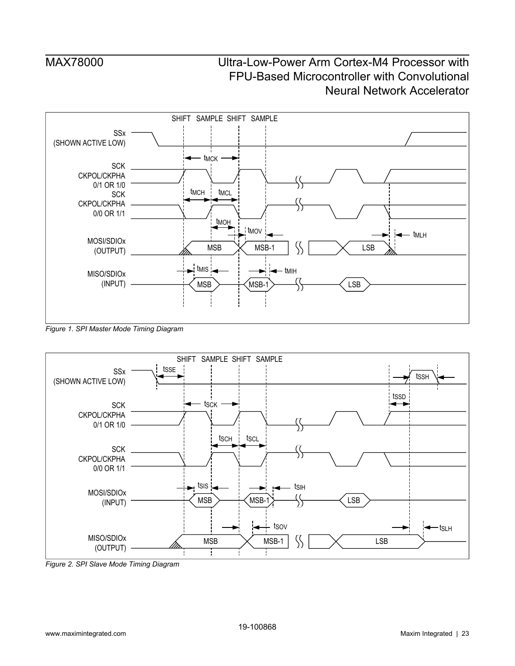<span id="page-22-0"></span>

*Figure 1. SPI Master Mode Timing Diagram*

<span id="page-22-1"></span>

*Figure 2. SPI Slave Mode Timing Diagram*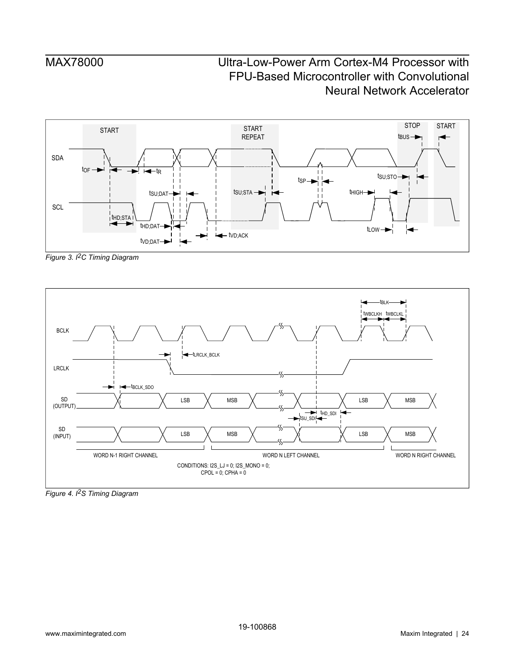<span id="page-23-0"></span>

*Figure 3. I2C Timing Diagram*

<span id="page-23-1"></span>

*Figure 4. I2S Timing Diagram*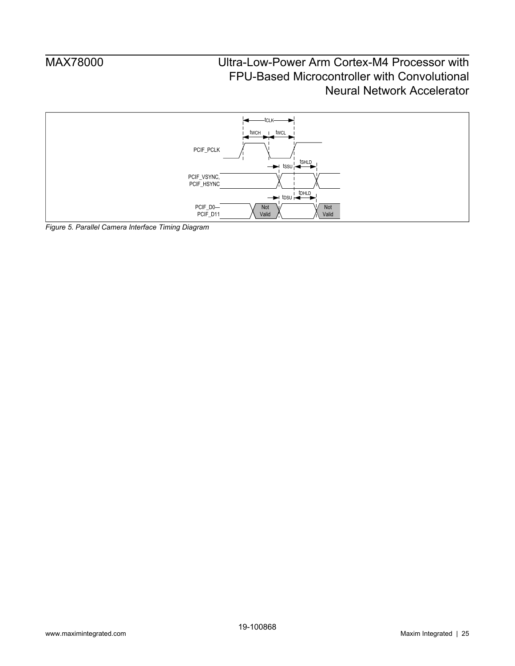<span id="page-24-0"></span>

*Figure 5. Parallel Camera Interface Timing Diagram*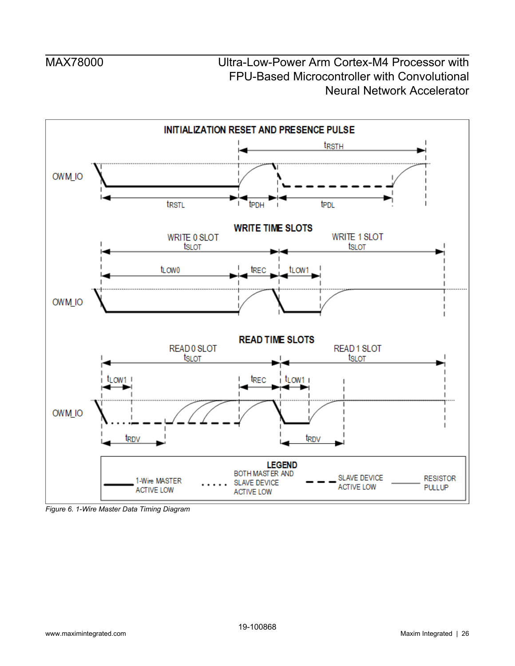<span id="page-25-0"></span>

*Figure 6. 1-Wire Master Data Timing Diagram*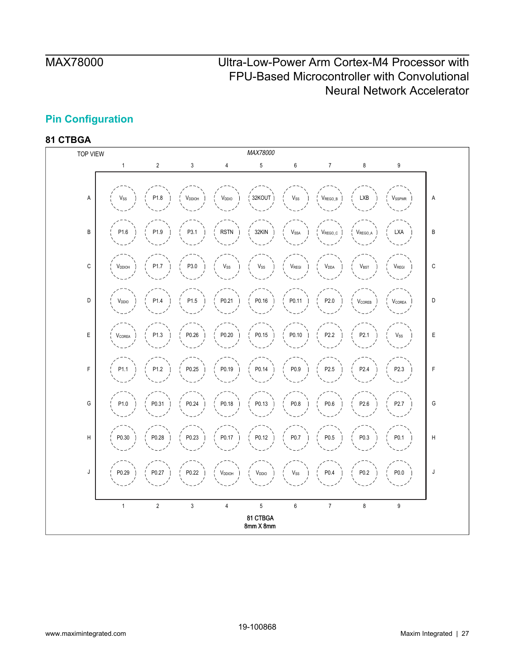## <span id="page-26-0"></span>**Pin Configuration**

<span id="page-26-1"></span>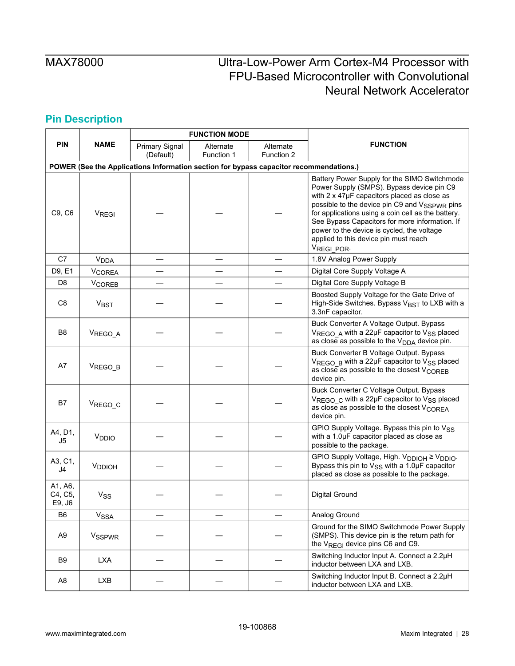# <span id="page-27-1"></span><span id="page-27-0"></span>**Pin Description**

|                                                                                        |                          |                                    | <b>FUNCTION MODE</b>    |                         |                                                                                                                                                                                                                                                                                                                                                                                                        |  |  |  |  |  |  |  |
|----------------------------------------------------------------------------------------|--------------------------|------------------------------------|-------------------------|-------------------------|--------------------------------------------------------------------------------------------------------------------------------------------------------------------------------------------------------------------------------------------------------------------------------------------------------------------------------------------------------------------------------------------------------|--|--|--|--|--|--|--|
| PIN                                                                                    | <b>NAME</b>              | <b>Primary Signal</b><br>(Default) | Alternate<br>Function 1 | Alternate<br>Function 2 | <b>FUNCTION</b>                                                                                                                                                                                                                                                                                                                                                                                        |  |  |  |  |  |  |  |
| POWER (See the Applications Information section for bypass capacitor recommendations.) |                          |                                    |                         |                         |                                                                                                                                                                                                                                                                                                                                                                                                        |  |  |  |  |  |  |  |
| C9, C6                                                                                 | VREGI                    |                                    |                         |                         | Battery Power Supply for the SIMO Switchmode<br>Power Supply (SMPS). Bypass device pin C9<br>with 2 x 47µF capacitors placed as close as<br>possible to the device pin C9 and VSSPWR pins<br>for applications using a coin cell as the battery.<br>See Bypass Capacitors for more information. If<br>power to the device is cycled, the voltage<br>applied to this device pin must reach<br>VREGI_POR- |  |  |  |  |  |  |  |
| C7                                                                                     | <b>V<sub>DDA</sub></b>   |                                    |                         |                         | 1.8V Analog Power Supply                                                                                                                                                                                                                                                                                                                                                                               |  |  |  |  |  |  |  |
| D9, E1                                                                                 | <b>VCOREA</b>            |                                    |                         |                         | Digital Core Supply Voltage A                                                                                                                                                                                                                                                                                                                                                                          |  |  |  |  |  |  |  |
| D <sub>8</sub>                                                                         | <b>V<sub>COREB</sub></b> |                                    |                         |                         | Digital Core Supply Voltage B                                                                                                                                                                                                                                                                                                                                                                          |  |  |  |  |  |  |  |
| C <sub>8</sub>                                                                         | <b>VBST</b>              |                                    |                         |                         | Boosted Supply Voltage for the Gate Drive of<br>High-Side Switches. Bypass V <sub>BST</sub> to LXB with a<br>3.3nF capacitor.                                                                                                                                                                                                                                                                          |  |  |  |  |  |  |  |
| B <sub>8</sub>                                                                         | VREGO_A                  |                                    |                         |                         | Buck Converter A Voltage Output. Bypass<br>VREGO A with a 22µF capacitor to V <sub>SS</sub> placed<br>as close as possible to the V <sub>DDA</sub> device pin.                                                                                                                                                                                                                                         |  |  |  |  |  |  |  |
| A7                                                                                     | VREGO_B                  |                                    |                         |                         | Buck Converter B Voltage Output. Bypass<br>V <sub>REGO</sub> B with a 22µF capacitor to V <sub>SS</sub> placed<br>as close as possible to the closest $V_{\text{COREB}}$<br>device pin.                                                                                                                                                                                                                |  |  |  |  |  |  |  |
| B7                                                                                     | V <sub>REGO_C</sub>      |                                    |                         |                         | Buck Converter C Voltage Output. Bypass<br>VREGO c with a 22µF capacitor to V <sub>SS</sub> placed<br>as close as possible to the closest $V_{\text{COREA}}$<br>device pin.                                                                                                                                                                                                                            |  |  |  |  |  |  |  |
| A4, D1,<br>J5                                                                          | V <sub>DDIO</sub>        |                                    |                         |                         | GPIO Supply Voltage. Bypass this pin to VSS<br>with a 1.0µF capacitor placed as close as<br>possible to the package.                                                                                                                                                                                                                                                                                   |  |  |  |  |  |  |  |
| A3, C1,<br>J4                                                                          | V <sub>DDIOH</sub>       |                                    |                         |                         | GPIO Supply Voltage, High. V <sub>DDIOH</sub> ≥ V <sub>DDIO</sub> .<br>Bypass this pin to $V_{SS}$ with a 1.0 $\mu$ F capacitor<br>placed as close as possible to the package.                                                                                                                                                                                                                         |  |  |  |  |  |  |  |
| A1, A6,<br>C4, C5,<br>E9, J6                                                           | <b>V<sub>SS</sub></b>    |                                    |                         |                         | <b>Digital Ground</b>                                                                                                                                                                                                                                                                                                                                                                                  |  |  |  |  |  |  |  |
| B <sub>6</sub>                                                                         | $V_{SSA}$                |                                    |                         |                         | Analog Ground                                                                                                                                                                                                                                                                                                                                                                                          |  |  |  |  |  |  |  |
| A <sub>9</sub>                                                                         | <b>VSSPWR</b>            |                                    |                         |                         | Ground for the SIMO Switchmode Power Supply<br>(SMPS). This device pin is the return path for<br>the V <sub>REGI</sub> device pins C6 and C9.                                                                                                                                                                                                                                                          |  |  |  |  |  |  |  |
| B9                                                                                     | <b>LXA</b>               |                                    |                         |                         | Switching Inductor Input A. Connect a 2.2µH<br>inductor between LXA and LXB.                                                                                                                                                                                                                                                                                                                           |  |  |  |  |  |  |  |
| A <sub>8</sub>                                                                         | <b>LXB</b>               |                                    |                         |                         | Switching Inductor Input B. Connect a 2.2µH<br>inductor between LXA and LXB.                                                                                                                                                                                                                                                                                                                           |  |  |  |  |  |  |  |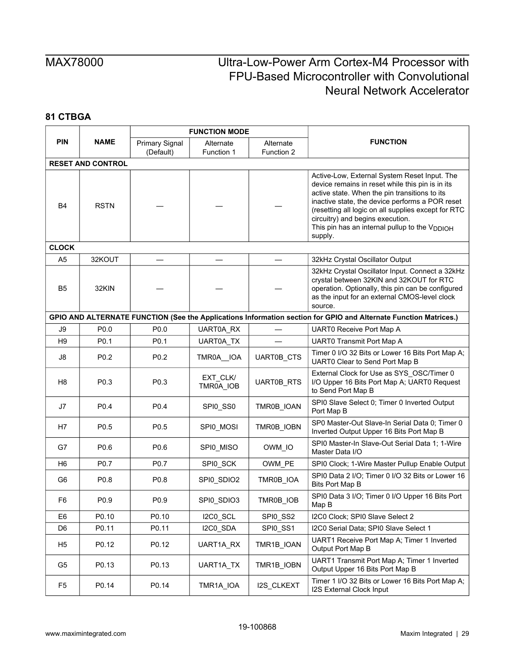|                |                          |                       | <b>FUNCTION MODE</b>  |                   |                                                                                                                                                                                                                                                                                                                                                                         |
|----------------|--------------------------|-----------------------|-----------------------|-------------------|-------------------------------------------------------------------------------------------------------------------------------------------------------------------------------------------------------------------------------------------------------------------------------------------------------------------------------------------------------------------------|
| <b>PIN</b>     | <b>NAME</b>              | <b>Primary Signal</b> | Alternate             | Alternate         | <b>FUNCTION</b>                                                                                                                                                                                                                                                                                                                                                         |
|                |                          | (Default)             | Function 1            | Function 2        |                                                                                                                                                                                                                                                                                                                                                                         |
|                | <b>RESET AND CONTROL</b> |                       |                       |                   |                                                                                                                                                                                                                                                                                                                                                                         |
| B4             | <b>RSTN</b>              |                       |                       |                   | Active-Low, External System Reset Input. The<br>device remains in reset while this pin is in its<br>active state. When the pin transitions to its<br>inactive state, the device performs a POR reset<br>(resetting all logic on all supplies except for RTC<br>circuitry) and begins execution.<br>This pin has an internal pullup to the V <sub>DDIOH</sub><br>supply. |
| <b>CLOCK</b>   |                          |                       |                       |                   |                                                                                                                                                                                                                                                                                                                                                                         |
| A <sub>5</sub> | 32KOUT                   |                       |                       |                   | 32kHz Crystal Oscillator Output                                                                                                                                                                                                                                                                                                                                         |
| B5             | 32KIN                    |                       |                       |                   | 32kHz Crystal Oscillator Input. Connect a 32kHz<br>crystal between 32KIN and 32KOUT for RTC<br>operation. Optionally, this pin can be configured<br>as the input for an external CMOS-level clock<br>source.                                                                                                                                                            |
|                |                          |                       |                       |                   | GPIO AND ALTERNATE FUNCTION (See the Applications Information section for GPIO and Alternate Function Matrices.)                                                                                                                                                                                                                                                        |
| J9             | P0.0                     | P0.0                  | UART0A_RX             |                   | UART0 Receive Port Map A                                                                                                                                                                                                                                                                                                                                                |
| H <sub>9</sub> | P <sub>0.1</sub>         | P <sub>0.1</sub>      | <b>UART0A TX</b>      |                   | <b>UART0 Transmit Port Map A</b>                                                                                                                                                                                                                                                                                                                                        |
| J8             | P <sub>0.2</sub>         | P <sub>0.2</sub>      | TMR0A IOA             | UART0B_CTS        | Timer 0 I/O 32 Bits or Lower 16 Bits Port Map A;<br>UART0 Clear to Send Port Map B                                                                                                                                                                                                                                                                                      |
| H <sub>8</sub> | P0.3                     | P0.3                  | EXT_CLK/<br>TMR0A_IOB | <b>UART0B_RTS</b> | External Clock for Use as SYS_OSC/Timer 0<br>I/O Upper 16 Bits Port Map A; UART0 Request<br>to Send Port Map B                                                                                                                                                                                                                                                          |
| J7             | P <sub>0.4</sub>         | P <sub>0.4</sub>      | SPI0_SS0              | TMR0B_IOAN        | SPI0 Slave Select 0; Timer 0 Inverted Output<br>Port Map B                                                                                                                                                                                                                                                                                                              |
| H7             | P <sub>0.5</sub>         | P <sub>0.5</sub>      | SPI0_MOSI             | TMR0B_IOBN        | SP0 Master-Out Slave-In Serial Data 0; Timer 0<br>Inverted Output Upper 16 Bits Port Map B                                                                                                                                                                                                                                                                              |
| G7             | P0.6                     | P0.6                  | SPI0_MISO             | OWM IO            | SPI0 Master-In Slave-Out Serial Data 1; 1-Wire<br>Master Data I/O                                                                                                                                                                                                                                                                                                       |
| H6             | P <sub>0.7</sub>         | P <sub>0.7</sub>      | SPI0_SCK              | OWM_PE            | SPI0 Clock; 1-Wire Master Pullup Enable Output                                                                                                                                                                                                                                                                                                                          |
| G6             | P <sub>0.8</sub>         | P0.8                  | SPI0_SDIO2            | TMR0B_IOA         | SPI0 Data 2 I/O; Timer 0 I/O 32 Bits or Lower 16<br>Bits Port Map B                                                                                                                                                                                                                                                                                                     |
| F <sub>6</sub> | P <sub>0.9</sub>         | P <sub>0.9</sub>      | SPI0_SDIO3            | TMR0B IOB         | SPI0 Data 3 I/O; Timer 0 I/O Upper 16 Bits Port<br>Map B                                                                                                                                                                                                                                                                                                                |
| E <sub>6</sub> | P0.10                    | P0.10                 | I2C0_SCL              | SPI0_SS2          | I2C0 Clock; SPI0 Slave Select 2                                                                                                                                                                                                                                                                                                                                         |
| D <sub>6</sub> | P0.11                    | P0.11                 | I2C0_SDA              | SPI0_SS1          | I2C0 Serial Data; SPI0 Slave Select 1                                                                                                                                                                                                                                                                                                                                   |
| H <sub>5</sub> | P0.12                    | P0.12                 | UART1A RX             | TMR1B_IOAN        | UART1 Receive Port Map A; Timer 1 Inverted<br>Output Port Map B                                                                                                                                                                                                                                                                                                         |
| G5             | P0.13                    | P0.13                 | UART1A_TX             | TMR1B_IOBN        | UART1 Transmit Port Map A; Timer 1 Inverted<br>Output Upper 16 Bits Port Map B                                                                                                                                                                                                                                                                                          |
| F <sub>5</sub> | P0.14                    | P0.14                 | TMR1A_IOA             | I2S_CLKEXT        | Timer 1 I/O 32 Bits or Lower 16 Bits Port Map A;<br>I2S External Clock Input                                                                                                                                                                                                                                                                                            |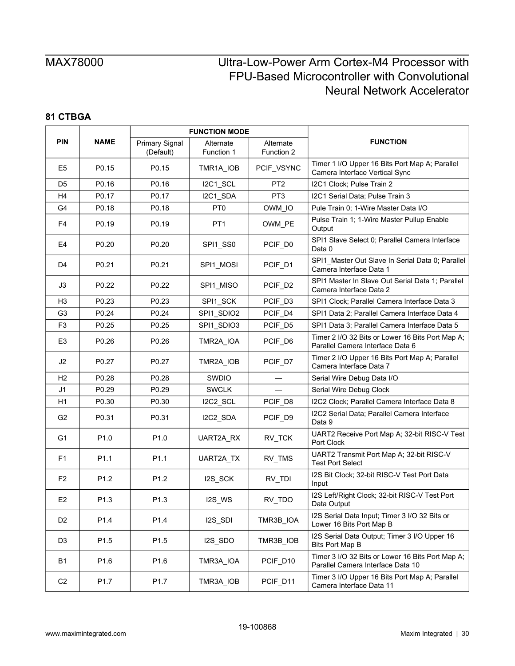|                |                  |                                    | <b>FUNCTION MODE</b>    |                                                                                        |                                                                                       |
|----------------|------------------|------------------------------------|-------------------------|----------------------------------------------------------------------------------------|---------------------------------------------------------------------------------------|
| <b>PIN</b>     | <b>NAME</b>      | <b>Primary Signal</b><br>(Default) | Alternate<br>Function 1 | Alternate<br>Function 2                                                                | <b>FUNCTION</b>                                                                       |
| E <sub>5</sub> | P0.15            | P0.15                              | TMR1A_IOB               | PCIF_VSYNC                                                                             | Timer 1 I/O Upper 16 Bits Port Map A; Parallel<br>Camera Interface Vertical Sync      |
| D <sub>5</sub> | P0.16            | P0.16                              | I2C1_SCL                | PT <sub>2</sub>                                                                        | I2C1 Clock; Pulse Train 2                                                             |
| H <sub>4</sub> | P0.17            | P0.17                              | I2C1_SDA                | PT <sub>3</sub>                                                                        | I2C1 Serial Data; Pulse Train 3                                                       |
| G4             | P0.18            | P0.18                              | PT <sub>0</sub>         | OWM_IO                                                                                 | Pule Train 0; 1-Wire Master Data I/O                                                  |
| F4             | P0.19            | P0.19                              | PT <sub>1</sub>         | OWM_PE                                                                                 | Pulse Train 1; 1-Wire Master Pullup Enable<br>Output                                  |
| E4             | P0.20            | P0.20                              | SPI1_SS0                | PCIF_D0                                                                                | SPI1 Slave Select 0; Parallel Camera Interface<br>Data 0                              |
| D4             | P0.21            | P0.21                              | SPI1_MOSI               | PCIF_D1                                                                                | SPI1_Master Out Slave In Serial Data 0; Parallel<br>Camera Interface Data 1           |
| J3             | P0.22            | P0.22                              | SPI1_MISO               | PCIF_D2                                                                                | SPI1 Master In Slave Out Serial Data 1; Parallel<br>Camera Interface Data 2           |
| H <sub>3</sub> | P0.23            | P0.23                              | SPI1_SCK                | PCIF_D3                                                                                | SPI1 Clock; Parallel Camera Interface Data 3                                          |
| G <sub>3</sub> | P0.24            | P <sub>0.24</sub>                  | SPI1 SDIO2              | PCIF_D4                                                                                | SPI1 Data 2: Parallel Camera Interface Data 4                                         |
| F <sub>3</sub> | P0.25            | P0.25                              | SPI1_SDIO3              | PCIF_D5                                                                                | SPI1 Data 3; Parallel Camera Interface Data 5                                         |
| E3             | P0.26            | P <sub>0.26</sub>                  | TMR2A_IOA               | PCIF_D6                                                                                | Timer 2 I/O 32 Bits or Lower 16 Bits Port Map A;<br>Parallel Camera Interface Data 6  |
| J2             | P0.27            | P0.27                              | TMR2A IOB               | PCIF_D7                                                                                | Timer 2 I/O Upper 16 Bits Port Map A; Parallel<br>Camera Interface Data 7             |
| H <sub>2</sub> | P0.28            | P <sub>0.28</sub>                  | <b>SWDIO</b>            |                                                                                        | Serial Wire Debug Data I/O                                                            |
| J <sub>1</sub> | P0.29            | P0.29                              | <b>SWCLK</b>            |                                                                                        | Serial Wire Debug Clock                                                               |
| H1             | P0.30            | P0.30                              | I2C2_SCL                | PCIF_D8                                                                                | I2C2 Clock; Parallel Camera Interface Data 8                                          |
| G <sub>2</sub> | P0.31            | P0.31                              | I2C2_SDA                | PCIF_D9                                                                                | I2C2 Serial Data; Parallel Camera Interface<br>Data 9                                 |
| G1             | P <sub>1.0</sub> | P <sub>1.0</sub>                   | UART2A_RX               | RV_TCK                                                                                 | UART2 Receive Port Map A; 32-bit RISC-V Test<br>Port Clock                            |
| F <sub>1</sub> | P <sub>1.1</sub> | P <sub>1.1</sub>                   | <b>UART2A TX</b>        | RV_TMS                                                                                 | UART2 Transmit Port Map A; 32-bit RISC-V<br><b>Test Port Select</b>                   |
| F <sub>2</sub> | P <sub>1.2</sub> | P1.2                               | I2S_SCK                 | RV_TDI                                                                                 | I2S Bit Clock; 32-bit RISC-V Test Port Data<br>Input                                  |
| E <sub>2</sub> | P <sub>1.3</sub> | P1.3                               | I2S_WS                  | RV_TDO                                                                                 | I2S Left/Right Clock; 32-bit RISC-V Test Port<br>Data Output                          |
| D <sub>2</sub> | P1.4             | P1.4                               | I2S_SDI                 | I2S Serial Data Input; Timer 3 I/O 32 Bits or<br>TMR3B_IOA<br>Lower 16 Bits Port Map B |                                                                                       |
| D <sub>3</sub> | P <sub>1.5</sub> | P1.5                               | I2S_SDO                 | TMR3B_IOB                                                                              | I2S Serial Data Output; Timer 3 I/O Upper 16<br><b>Bits Port Map B</b>                |
| <b>B1</b>      | P <sub>1.6</sub> | P1.6                               | TMR3A_IOA               | PCIF_D10                                                                               | Timer 3 I/O 32 Bits or Lower 16 Bits Port Map A;<br>Parallel Camera Interface Data 10 |
| C <sub>2</sub> | P <sub>1.7</sub> | P <sub>1.7</sub>                   | TMR3A_IOB               | Timer 3 I/O Upper 16 Bits Port Map A; Parallel<br>PCIF_D11<br>Camera Interface Data 11 |                                                                                       |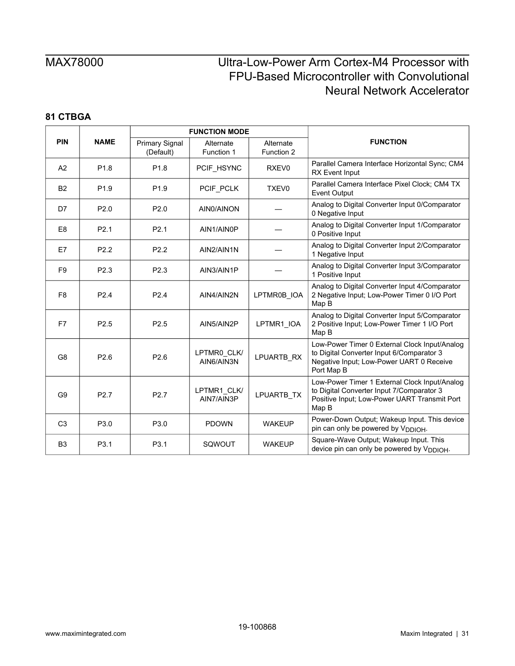|                |                  |                                    | <b>FUNCTION MODE</b>      |                         |                                                                                                                                                      |
|----------------|------------------|------------------------------------|---------------------------|-------------------------|------------------------------------------------------------------------------------------------------------------------------------------------------|
| <b>PIN</b>     | <b>NAME</b>      | <b>Primary Signal</b><br>(Default) | Alternate<br>Function 1   | Alternate<br>Function 2 | <b>FUNCTION</b>                                                                                                                                      |
| A2             | P <sub>1.8</sub> | P <sub>1.8</sub>                   | PCIF_HSYNC                | RXEV <sub>0</sub>       | Parallel Camera Interface Horizontal Sync; CM4<br><b>RX</b> Event Input                                                                              |
| <b>B2</b>      | P <sub>1.9</sub> | P <sub>1.9</sub>                   | PCIF PCLK                 | <b>TXEV0</b>            | Parallel Camera Interface Pixel Clock; CM4 TX<br><b>Event Output</b>                                                                                 |
| D7             | P2.0             | P <sub>2.0</sub>                   | AIN0/AINON                |                         | Analog to Digital Converter Input 0/Comparator<br>0 Negative Input                                                                                   |
| E <sub>8</sub> | P <sub>2.1</sub> | P <sub>2.1</sub>                   | AIN1/AIN0P                |                         | Analog to Digital Converter Input 1/Comparator<br>0 Positive Input                                                                                   |
| E7             | P <sub>2.2</sub> | P <sub>2.2</sub>                   | AIN2/AIN1N                |                         | Analog to Digital Converter Input 2/Comparator<br>1 Negative Input                                                                                   |
| F <sub>9</sub> | P <sub>2.3</sub> | P <sub>2.3</sub>                   | AIN3/AIN1P                |                         | Analog to Digital Converter Input 3/Comparator<br>1 Positive Input                                                                                   |
| F <sub>8</sub> | P <sub>2.4</sub> | P <sub>2.4</sub>                   | AIN4/AIN2N                | LPTMR0B_IOA             | Analog to Digital Converter Input 4/Comparator<br>2 Negative Input; Low-Power Timer 0 I/O Port<br>Map B                                              |
| F7             | P <sub>2.5</sub> | P <sub>2.5</sub>                   | AIN5/AIN2P                | LPTMR1_IOA              | Analog to Digital Converter Input 5/Comparator<br>2 Positive Input; Low-Power Timer 1 I/O Port<br>Map B                                              |
| G <sub>8</sub> | P <sub>2.6</sub> | P <sub>2.6</sub>                   | LPTMR0 CLK/<br>AIN6/AIN3N | LPUARTB RX              | Low-Power Timer 0 External Clock Input/Analog<br>to Digital Converter Input 6/Comparator 3<br>Negative Input; Low-Power UART 0 Receive<br>Port Map B |
| G <sub>9</sub> | P <sub>2.7</sub> | P <sub>2.7</sub>                   | LPTMR1 CLK/<br>AIN7/AIN3P | LPUARTB TX              | Low-Power Timer 1 External Clock Input/Analog<br>to Digital Converter Input 7/Comparator 3<br>Positive Input; Low-Power UART Transmit Port<br>Map B  |
| C <sub>3</sub> | P3.0             | P3.0                               | <b>PDOWN</b>              | <b>WAKEUP</b>           | Power-Down Output; Wakeup Input. This device<br>pin can only be powered by V <sub>DDIOH</sub> .                                                      |
| B <sub>3</sub> | P3.1             | P3.1                               | SQWOUT                    | <b>WAKEUP</b>           | Square-Wave Output; Wakeup Input. This<br>device pin can only be powered by V <sub>DDIOH</sub> .                                                     |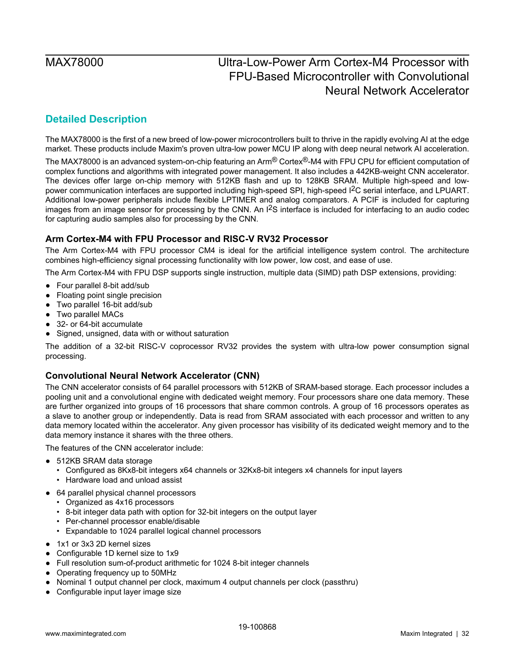## <span id="page-31-0"></span>**Detailed Description**

The MAX78000 is the first of a new breed of low-power microcontrollers built to thrive in the rapidly evolving AI at the edge market. These products include Maxim's proven ultra-low power MCU IP along with deep neural network AI acceleration.

The MAX78000 is an advanced system-on-chip featuring an Arm® Cortex®-M4 with FPU CPU for efficient computation of complex functions and algorithms with integrated power management. It also includes a 442KB-weight CNN accelerator. The devices offer large on-chip memory with 512KB flash and up to 128KB SRAM. Multiple high-speed and lowpower communication interfaces are supported including high-speed SPI, high-speed I2C serial interface, and LPUART. Additional low-power peripherals include flexible LPTIMER and analog comparators. A PCIF is included for capturing images from an image sensor for processing by the CNN. An  $1^2S$  interface is included for interfacing to an audio codec for capturing audio samples also for processing by the CNN.

### <span id="page-31-1"></span>**Arm Cortex-M4 with FPU Processor and RISC-V RV32 Processor**

The Arm Cortex-M4 with FPU processor CM4 is ideal for the artificial intelligence system control. The architecture combines high-efficiency signal processing functionality with low power, low cost, and ease of use.

The Arm Cortex-M4 with FPU DSP supports single instruction, multiple data (SIMD) path DSP extensions, providing:

- Four parallel 8-bit add/sub
- Floating point single precision
- Two parallel 16-bit add/sub
- Two parallel MACs
- 32- or 64-bit accumulate
- Signed, unsigned, data with or without saturation

The addition of a 32-bit RISC-V coprocessor RV32 provides the system with ultra-low power consumption signal processing.

### <span id="page-31-2"></span>**Convolutional Neural Network Accelerator (CNN)**

The CNN accelerator consists of 64 parallel processors with 512KB of SRAM-based storage. Each processor includes a pooling unit and a convolutional engine with dedicated weight memory. Four processors share one data memory. These are further organized into groups of 16 processors that share common controls. A group of 16 processors operates as a slave to another group or independently. Data is read from SRAM associated with each processor and written to any data memory located within the accelerator. Any given processor has visibility of its dedicated weight memory and to the data memory instance it shares with the three others.

The features of the CNN accelerator include:

- 512KB SRAM data storage
	- Configured as 8Kx8-bit integers x64 channels or 32Kx8-bit integers x4 channels for input layers
	- Hardware load and unload assist
- 64 parallel physical channel processors
	- Organized as 4x16 processors
	- 8-bit integer data path with option for 32-bit integers on the output layer
	- Per-channel processor enable/disable
	- Expandable to 1024 parallel logical channel processors
- 1x1 or 3x3 2D kernel sizes
- Configurable 1D kernel size to 1x9
- Full resolution sum-of-product arithmetic for 1024 8-bit integer channels
- Operating frequency up to 50MHz
- Nominal 1 output channel per clock, maximum 4 output channels per clock (passthru)
- Configurable input layer image size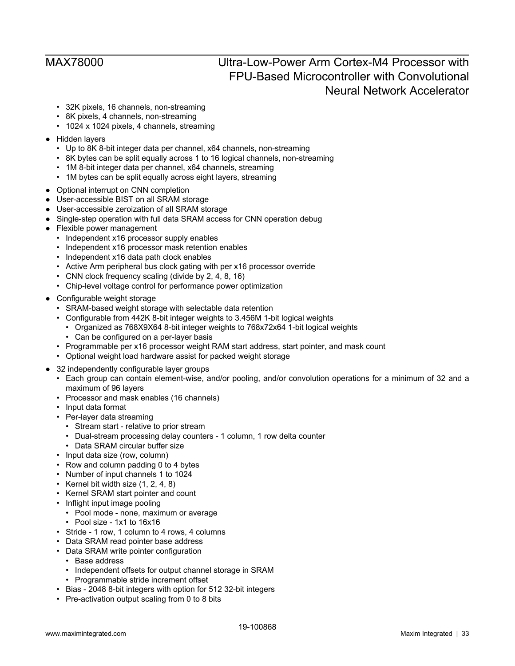- 32K pixels, 16 channels, non-streaming
- 8K pixels, 4 channels, non-streaming
- 1024 x 1024 pixels, 4 channels, streaming
- Hidden layers
	- Up to 8K 8-bit integer data per channel, x64 channels, non-streaming
	- 8K bytes can be split equally across 1 to 16 logical channels, non-streaming
	- 1M 8-bit integer data per channel, x64 channels, streaming
	- 1M bytes can be split equally across eight layers, streaming
- Optional interrupt on CNN completion
- User-accessible BIST on all SRAM storage
- User-accessible zeroization of all SRAM storage
- Single-step operation with full data SRAM access for CNN operation debug
- Flexible power management
	- Independent x16 processor supply enables
	- Independent x16 processor mask retention enables
	- Independent x16 data path clock enables
	- Active Arm peripheral bus clock gating with per x16 processor override
	- CNN clock frequency scaling (divide by 2, 4, 8, 16)
	- Chip-level voltage control for performance power optimization
- Configurable weight storage
	- SRAM-based weight storage with selectable data retention
	- Configurable from 442K 8-bit integer weights to 3.456M 1-bit logical weights
		- Organized as 768X9X64 8-bit integer weights to 768x72x64 1-bit logical weights
		- Can be configured on a per-layer basis
	- Programmable per x16 processor weight RAM start address, start pointer, and mask count
	- Optional weight load hardware assist for packed weight storage
- 32 independently configurable layer groups
	- Each group can contain element-wise, and/or pooling, and/or convolution operations for a minimum of 32 and a maximum of 96 layers
	- Processor and mask enables (16 channels)
	- Input data format
	- Per-layer data streaming
		- Stream start relative to prior stream
		- Dual-stream processing delay counters 1 column, 1 row delta counter
	- Data SRAM circular buffer size
	- Input data size (row, column)
	- Row and column padding 0 to 4 bytes
	- Number of input channels 1 to 1024
	- Kernel bit width size  $(1, 2, 4, 8)$
	- Kernel SRAM start pointer and count
	- Inflight input image pooling
		- Pool mode none, maximum or average
		- Pool size 1x1 to 16x16
	- Stride 1 row, 1 column to 4 rows, 4 columns
	- Data SRAM read pointer base address
	- Data SRAM write pointer configuration
		- Base address
		- Independent offsets for output channel storage in SRAM
	- Programmable stride increment offset
	- Bias 2048 8-bit integers with option for 512 32-bit integers
	- Pre-activation output scaling from 0 to 8 bits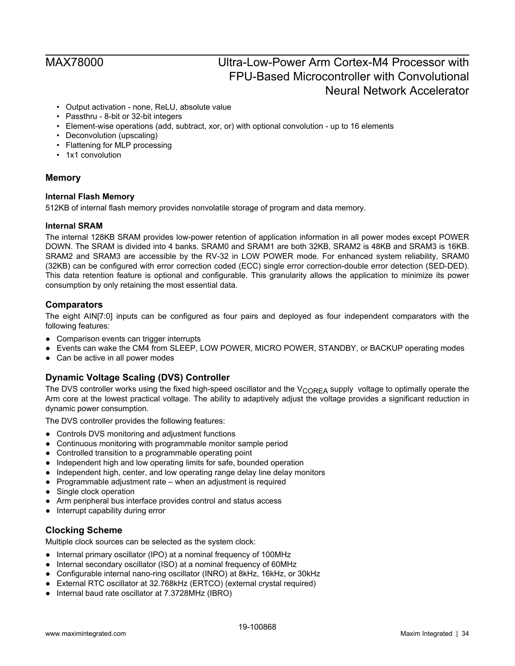- Output activation none, ReLU, absolute value
- Passthru 8-bit or 32-bit integers
- Element-wise operations (add, subtract, xor, or) with optional convolution up to 16 elements
- Deconvolution (upscaling)
- Flattening for MLP processing
- 1x1 convolution

### <span id="page-33-0"></span>**Memory**

### <span id="page-33-1"></span>**Internal Flash Memory**

512KB of internal flash memory provides nonvolatile storage of program and data memory.

### <span id="page-33-2"></span>**Internal SRAM**

The internal 128KB SRAM provides low-power retention of application information in all power modes except POWER DOWN. The SRAM is divided into 4 banks. SRAM0 and SRAM1 are both 32KB, SRAM2 is 48KB and SRAM3 is 16KB. SRAM2 and SRAM3 are accessible by the RV-32 in LOW POWER mode. For enhanced system reliability, SRAM0 (32KB) can be configured with error correction coded (ECC) single error correction-double error detection (SED-DED). This data retention feature is optional and configurable. This granularity allows the application to minimize its power consumption by only retaining the most essential data.

### <span id="page-33-3"></span>**Comparators**

The eight AIN[7:0] inputs can be configured as four pairs and deployed as four independent comparators with the following features:

- Comparison events can trigger interrupts
- Events can wake the CM4 from SLEEP, LOW POWER, MICRO POWER, STANDBY, or BACKUP operating modes
- Can be active in all power modes

### <span id="page-33-4"></span>**Dynamic Voltage Scaling (DVS) Controller**

The DVS controller works using the fixed high-speed oscillator and the  $V_{\text{CORFA}}$  supply voltage to optimally operate the Arm core at the lowest practical voltage. The ability to adaptively adjust the voltage provides a significant reduction in dynamic power consumption.

The DVS controller provides the following features:

- Controls DVS monitoring and adjustment functions
- Continuous monitoring with programmable monitor sample period
- Controlled transition to a programmable operating point
- Independent high and low operating limits for safe, bounded operation
- Independent high, center, and low operating range delay line delay monitors
- Programmable adjustment rate when an adjustment is required
- Single clock operation
- Arm peripheral bus interface provides control and status access
- Interrupt capability during error

### <span id="page-33-5"></span>**Clocking Scheme**

Multiple clock sources can be selected as the system clock:

- Internal primary oscillator (IPO) at a nominal frequency of 100MHz
- Internal secondary oscillator (ISO) at a nominal frequency of 60MHz
- Configurable internal nano-ring oscillator (INRO) at 8kHz, 16kHz, or 30kHz
- External RTC oscillator at 32.768kHz (ERTCO) (external crystal required)
- Internal baud rate oscillator at 7.3728MHz (IBRO)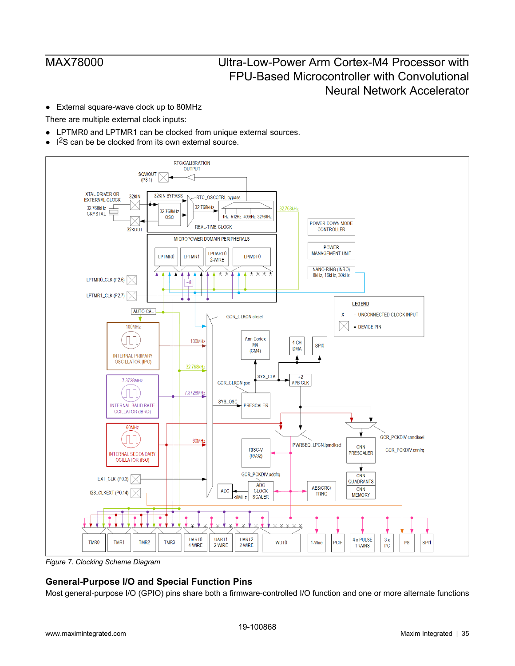● External square-wave clock up to 80MHz

There are multiple external clock inputs:

- LPTMR0 and LPTMR1 can be clocked from unique external sources.
- I 2S can be be clocked from its own external source.

<span id="page-34-1"></span>

*Figure 7. Clocking Scheme Diagram*

### <span id="page-34-0"></span>**General-Purpose I/O and Special Function Pins**

Most general-purpose I/O (GPIO) pins share both a firmware-controlled I/O function and one or more alternate functions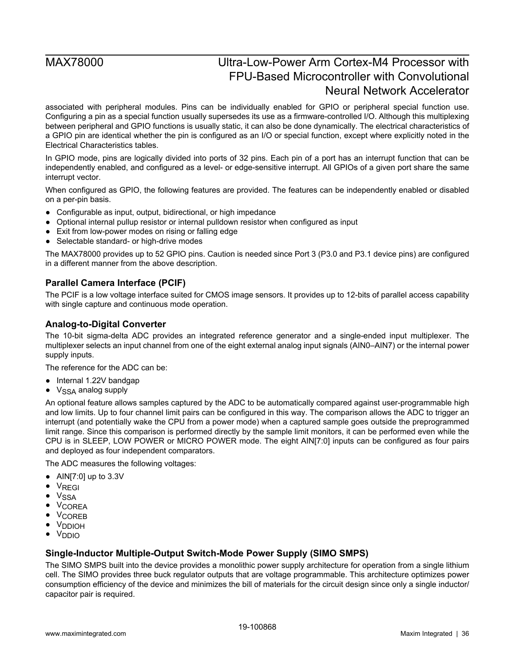associated with peripheral modules. Pins can be individually enabled for GPIO or peripheral special function use. Configuring a pin as a special function usually supersedes its use as a firmware-controlled I/O. Although this multiplexing between peripheral and GPIO functions is usually static, it can also be done dynamically. The electrical characteristics of a GPIO pin are identical whether the pin is configured as an I/O or special function, except where explicitly noted in the Electrical Characteristics tables.

In GPIO mode, pins are logically divided into ports of 32 pins. Each pin of a port has an interrupt function that can be independently enabled, and configured as a level- or edge-sensitive interrupt. All GPIOs of a given port share the same interrupt vector.

When configured as GPIO, the following features are provided. The features can be independently enabled or disabled on a per-pin basis.

- Configurable as input, output, bidirectional, or high impedance
- Optional internal pullup resistor or internal pulldown resistor when configured as input
- Exit from low-power modes on rising or falling edge
- Selectable standard- or high-drive modes

The MAX78000 provides up to 52 GPIO pins. Caution is needed since Port 3 (P3.0 and P3.1 device pins) are configured in a different manner from the above description.

### <span id="page-35-0"></span>**Parallel Camera Interface (PCIF)**

The PCIF is a low voltage interface suited for CMOS image sensors. It provides up to 12-bits of parallel access capability with single capture and continuous mode operation.

### <span id="page-35-1"></span>**Analog-to-Digital Converter**

The 10-bit sigma-delta ADC provides an integrated reference generator and a single-ended input multiplexer. The multiplexer selects an input channel from one of the eight external analog input signals (AIN0–AIN7) or the internal power supply inputs.

The reference for the ADC can be:

- Internal 1.22V bandgap
- $\bullet\;\;V_{SSA}$  analog supply

An optional feature allows samples captured by the ADC to be automatically compared against user-programmable high and low limits. Up to four channel limit pairs can be configured in this way. The comparison allows the ADC to trigger an interrupt (and potentially wake the CPU from a power mode) when a captured sample goes outside the preprogrammed limit range. Since this comparison is performed directly by the sample limit monitors, it can be performed even while the CPU is in SLEEP, LOW POWER or MICRO POWER mode. The eight AIN[7:0] inputs can be configured as four pairs and deployed as four independent comparators.

The ADC measures the following voltages:

- AIN[7:0] up to 3.3V
- V<sub>REGI</sub>
- V<sub>SSA</sub>
- VCOREA
- VCOREB
- V<sub>DDIOH</sub>
- VDDIO

### <span id="page-35-2"></span>**Single-Inductor Multiple-Output Switch-Mode Power Supply (SIMO SMPS)**

The SIMO SMPS built into the device provides a monolithic power supply architecture for operation from a single lithium cell. The SIMO provides three buck regulator outputs that are voltage programmable. This architecture optimizes power consumption efficiency of the device and minimizes the bill of materials for the circuit design since only a single inductor/ capacitor pair is required.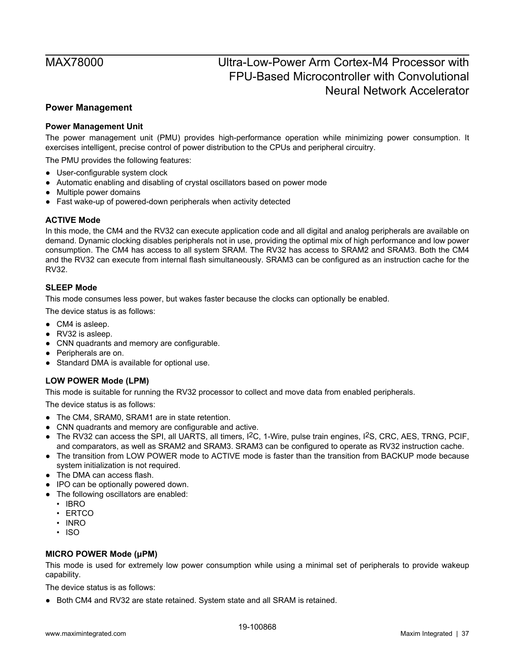### <span id="page-36-0"></span>**Power Management**

### <span id="page-36-1"></span>**Power Management Unit**

The power management unit (PMU) provides high-performance operation while minimizing power consumption. It exercises intelligent, precise control of power distribution to the CPUs and peripheral circuitry.

The PMU provides the following features:

- User-configurable system clock
- Automatic enabling and disabling of crystal oscillators based on power mode
- Multiple power domains
- Fast wake-up of powered-down peripherals when activity detected

### <span id="page-36-2"></span>**ACTIVE Mode**

In this mode, the CM4 and the RV32 can execute application code and all digital and analog peripherals are available on demand. Dynamic clocking disables peripherals not in use, providing the optimal mix of high performance and low power consumption. The CM4 has access to all system SRAM. The RV32 has access to SRAM2 and SRAM3. Both the CM4 and the RV32 can execute from internal flash simultaneously. SRAM3 can be configured as an instruction cache for the RV32.

### <span id="page-36-3"></span>**SLEEP Mode**

This mode consumes less power, but wakes faster because the clocks can optionally be enabled.

The device status is as follows:

- CM4 is asleep.
- RV32 is asleep.
- CNN quadrants and memory are configurable.
- Peripherals are on.
- Standard DMA is available for optional use.

### <span id="page-36-4"></span>**LOW POWER Mode (LPM)**

This mode is suitable for running the RV32 processor to collect and move data from enabled peripherals.

The device status is as follows:

- The CM4, SRAM0, SRAM1 are in state retention.
- CNN quadrants and memory are configurable and active.
- $\bullet$  The RV32 can access the SPI, all UARTS, all timers, I<sup>2</sup>C, 1-Wire, pulse train engines, I<sup>2</sup>S, CRC, AES, TRNG, PCIF, and comparators, as well as SRAM2 and SRAM3. SRAM3 can be configured to operate as RV32 instruction cache.
- The transition from LOW POWER mode to ACTIVE mode is faster than the transition from BACKUP mode because system initialization is not required.
- The DMA can access flash.
- IPO can be optionally powered down.
- The following oscillators are enabled:
	- IBRO
	- ERTCO
	- INRO
	- ISO

### <span id="page-36-5"></span>**MICRO POWER Mode (μPM)**

This mode is used for extremely low power consumption while using a minimal set of peripherals to provide wakeup capability.

The device status is as follows:

● Both CM4 and RV32 are state retained. System state and all SRAM is retained.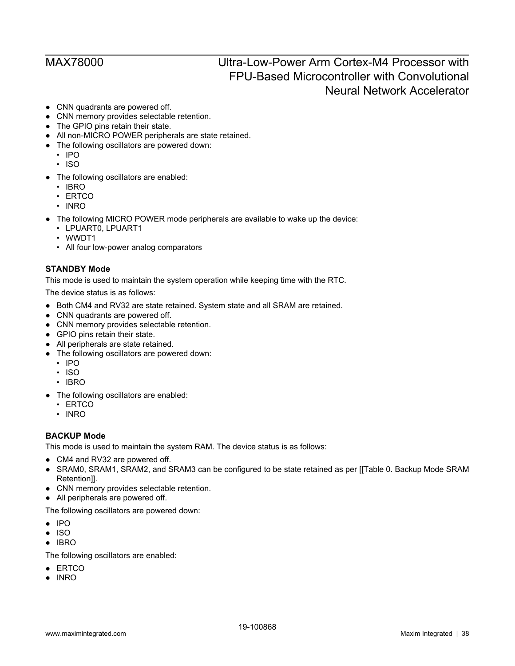- CNN quadrants are powered off.
- CNN memory provides selectable retention.
- The GPIO pins retain their state.
- All non-MICRO POWER peripherals are state retained.
- The following oscillators are powered down:
	- IPO
	- ISO
- The following oscillators are enabled:
	- IBRO
	- ERTCO
	- INRO
- The following MICRO POWER mode peripherals are available to wake up the device:
	- LPUART0, LPUART1
	- WWDT1
	- All four low-power analog comparators

### <span id="page-37-0"></span>**STANDBY Mode**

This mode is used to maintain the system operation while keeping time with the RTC.

The device status is as follows:

- Both CM4 and RV32 are state retained. System state and all SRAM are retained.
- CNN quadrants are powered off.
- CNN memory provides selectable retention.
- GPIO pins retain their state.
- All peripherals are state retained.
- The following oscillators are powered down:
	- IPO
	- ISO
	- IBRO
- The following oscillators are enabled:
	- ERTCO
	- INRO

### <span id="page-37-1"></span>**BACKUP Mode**

This mode is used to maintain the system RAM. The device status is as follows:

- CM4 and RV32 are powered off.
- SRAM0, SRAM1, SRAM2, and SRAM3 can be configured to be state retained as per [[Table 0. Backup Mode SRAM Retention]].
- CNN memory provides selectable retention.
- All peripherals are powered off.

The following oscillators are powered down:

- IPO
- ISO
- IBRO

The following oscillators are enabled:

- ERTCO
- INRO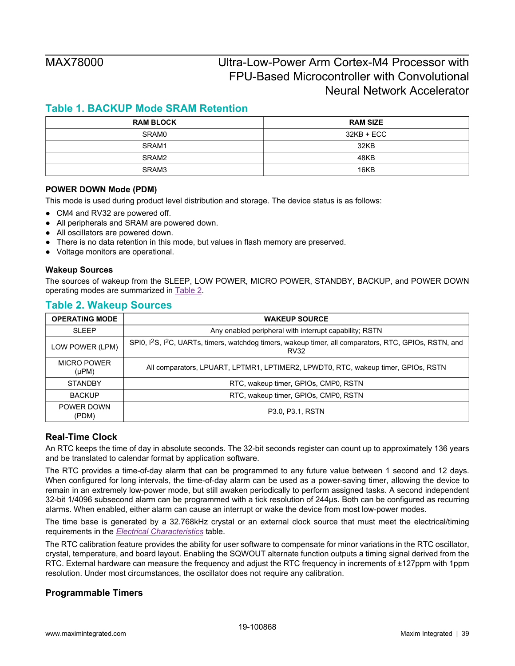## <span id="page-38-4"></span>**Table 1. BACKUP Mode SRAM Retention**

| <b>RAM BLOCK</b> | <b>RAM SIZE</b> |
|------------------|-----------------|
| SRAM0            | 32KB + ECC      |
| SRAM1            | 32KB            |
| SRAM2            | 48KB            |
| SRAM3            | 16KB            |

### <span id="page-38-0"></span>**POWER DOWN Mode (PDM)**

This mode is used during product level distribution and storage. The device status is as follows:

- CM4 and RV32 are powered off.
- All peripherals and SRAM are powered down.
- All oscillators are powered down.
- There is no data retention in this mode, but values in flash memory are preserved.
- Voltage monitors are operational.

### <span id="page-38-1"></span>**Wakeup Sources**

The sources of wakeup from the SLEEP, LOW POWER, MICRO POWER, STANDBY, BACKUP, and POWER DOWN operating modes are summarized in [Table 2.](#page-38-5)

### <span id="page-38-5"></span>**Table 2. Wakeup Sources**

| <b>OPERATING MODE</b>            | <b>WAKEUP SOURCE</b>                                                                                                                          |
|----------------------------------|-----------------------------------------------------------------------------------------------------------------------------------------------|
| <b>SLEEP</b>                     | Any enabled peripheral with interrupt capability; RSTN                                                                                        |
| LOW POWER (LPM)                  | SPI0, I <sup>2</sup> S, I <sup>2</sup> C, UARTs, timers, watchdog timers, wakeup timer, all comparators, RTC, GPIOs, RSTN, and<br><b>RV32</b> |
| <b>MICRO POWER</b><br>$(\mu PM)$ | All comparators, LPUART, LPTMR1, LPTIMER2, LPWDT0, RTC, wakeup timer, GPIOs, RSTN                                                             |
| <b>STANDBY</b>                   | RTC, wakeup timer, GPIOs, CMP0, RSTN                                                                                                          |
| <b>BACKUP</b>                    | RTC, wakeup timer, GPIOs, CMP0, RSTN                                                                                                          |
| POWER DOWN<br>(PDM)              | P3.0, P3.1, RSTN                                                                                                                              |

### <span id="page-38-2"></span>**Real-Time Clock**

An RTC keeps the time of day in absolute seconds. The 32-bit seconds register can count up to approximately 136 years and be translated to calendar format by application software.

The RTC provides a time-of-day alarm that can be programmed to any future value between 1 second and 12 days. When configured for long intervals, the time-of-day alarm can be used as a power-saving timer, allowing the device to remain in an extremely low-power mode, but still awaken periodically to perform assigned tasks. A second independent 32-bit 1/4096 subsecond alarm can be programmed with a tick resolution of 244µs. Both can be configured as recurring alarms. When enabled, either alarm can cause an interrupt or wake the device from most low-power modes.

The time base is generated by a 32.768kHz crystal or an external clock source that must meet the electrical/timing requirements in the *[Electrical Characteristics](#page-6-3)* table.

The RTC calibration feature provides the ability for user software to compensate for minor variations in the RTC oscillator, crystal, temperature, and board layout. Enabling the SQWOUT alternate function outputs a timing signal derived from the RTC. External hardware can measure the frequency and adjust the RTC frequency in increments of ±127ppm with 1ppm resolution. Under most circumstances, the oscillator does not require any calibration.

### <span id="page-38-3"></span>**Programmable Timers**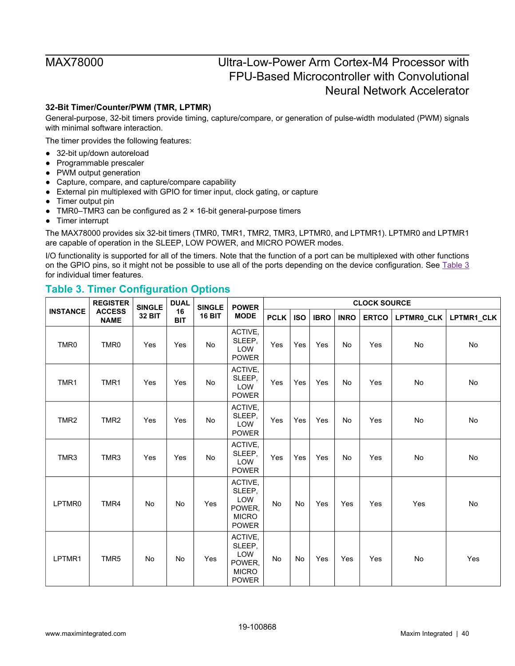### <span id="page-39-0"></span>**32-Bit Timer/Counter/PWM (TMR, LPTMR)**

General-purpose, 32-bit timers provide timing, capture/compare, or generation of pulse-width modulated (PWM) signals with minimal software interaction.

The timer provides the following features:

- 32-bit up/down autoreload
- Programmable prescaler
- PWM output generation
- Capture, compare, and capture/compare capability
- External pin multiplexed with GPIO for timer input, clock gating, or capture
- Timer output pin
- TMR0–TMR3 can be configured as  $2 \times 16$ -bit general-purpose timers
- Timer interrupt

The MAX78000 provides six 32-bit timers (TMR0, TMR1, TMR2, TMR3, LPTMR0, and LPTMR1). LPTMR0 and LPTMR1 are capable of operation in the SLEEP, LOW POWER, and MICRO POWER modes.

I/O functionality is supported for all of the timers. Note that the function of a port can be multiplexed with other functions on the GPIO pins, so it might not be possible to use all of the ports depending on the device configuration. See [Table 3](#page-39-1) for individual timer features.

### <span id="page-39-1"></span>**Table 3. Timer Configuration Options**

|                  | <b>REGISTER</b>              | <b>SINGLE</b> | <b>DUAL</b>      | <b>SINGLE</b> | <b>POWER</b>                                                       | <b>CLOCK SOURCE</b> |            |             |             |              |            |            |
|------------------|------------------------------|---------------|------------------|---------------|--------------------------------------------------------------------|---------------------|------------|-------------|-------------|--------------|------------|------------|
| <b>INSTANCE</b>  | <b>ACCESS</b><br><b>NAME</b> | <b>32 BIT</b> | 16<br><b>BIT</b> | <b>16 BIT</b> | <b>MODE</b>                                                        | <b>PCLK</b>         | <b>ISO</b> | <b>IBRO</b> | <b>INRO</b> | <b>ERTCO</b> | LPTMR0_CLK | LPTMR1_CLK |
| TMR <sub>0</sub> | TMR0                         | Yes           | Yes              | No            | ACTIVE,<br>SLEEP,<br>LOW<br><b>POWER</b>                           | Yes                 | Yes        | Yes         | No          | Yes          | No         | No         |
| TMR1             | TMR1                         | Yes           | Yes              | <b>No</b>     | ACTIVE,<br>SLEEP,<br>LOW<br><b>POWER</b>                           | Yes                 | Yes        | Yes         | No          | Yes          | No         | No         |
| TMR <sub>2</sub> | TMR <sub>2</sub>             | Yes           | Yes              | No            | ACTIVE,<br>SLEEP,<br>LOW<br><b>POWER</b>                           | Yes                 | Yes        | Yes         | No          | Yes          | No         | No         |
| TMR3             | TMR3                         | Yes           | Yes              | <b>No</b>     | ACTIVE,<br>SLEEP,<br>LOW<br><b>POWER</b>                           | Yes                 | Yes        | Yes         | <b>No</b>   | Yes          | <b>No</b>  | No         |
| LPTMR0           | TMR4                         | No            | No               | Yes           | ACTIVE,<br>SLEEP.<br>LOW<br>POWER,<br><b>MICRO</b><br><b>POWER</b> | No                  | No         | Yes         | Yes         | Yes          | Yes        | No         |
| LPTMR1           | TMR5                         | No            | No               | Yes           | ACTIVE,<br>SLEEP,<br>LOW<br>POWER,<br><b>MICRO</b><br><b>POWER</b> | No                  | No         | Yes         | Yes         | Yes          | No         | Yes        |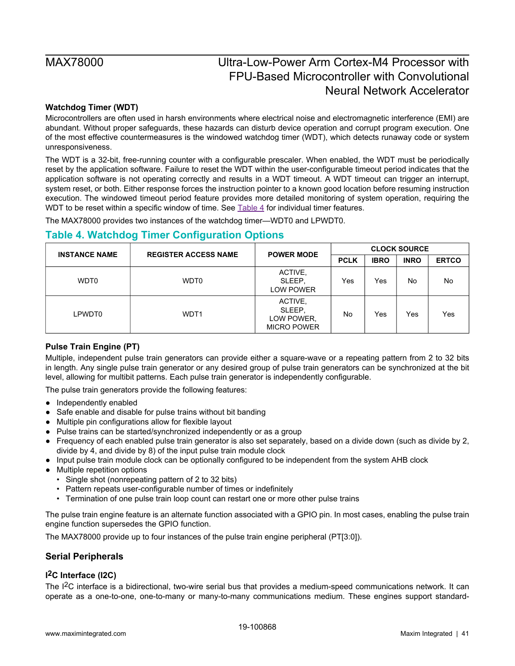### <span id="page-40-0"></span>**Watchdog Timer (WDT)**

Microcontrollers are often used in harsh environments where electrical noise and electromagnetic interference (EMI) are abundant. Without proper safeguards, these hazards can disturb device operation and corrupt program execution. One of the most effective countermeasures is the windowed watchdog timer (WDT), which detects runaway code or system unresponsiveness.

The WDT is a 32-bit, free-running counter with a configurable prescaler. When enabled, the WDT must be periodically reset by the application software. Failure to reset the WDT within the user-configurable timeout period indicates that the application software is not operating correctly and results in a WDT timeout. A WDT timeout can trigger an interrupt, system reset, or both. Either response forces the instruction pointer to a known good location before resuming instruction execution. The windowed timeout period feature provides more detailed monitoring of system operation, requiring the WDT to be reset within a specific window of time. See  $Table 4$  for individual timer features.

The MAX78000 provides two instances of the watchdog timer—WDT0 and LPWDT0.

## <span id="page-40-4"></span>**Table 4. Watchdog Timer Configuration Options**

| <b>INSTANCE NAME</b> | <b>REGISTER ACCESS NAME</b> | <b>POWER MODE</b>                                     | <b>CLOCK SOURCE</b> |             |             |              |
|----------------------|-----------------------------|-------------------------------------------------------|---------------------|-------------|-------------|--------------|
|                      |                             |                                                       | <b>PCLK</b>         | <b>IBRO</b> | <b>INRO</b> | <b>ERTCO</b> |
| <b>WDT0</b>          | WDT0                        | ACTIVE,<br>SLEEP.<br><b>LOW POWER</b>                 | Yes                 | Yes         | No          | No           |
| LPWDT0               | WDT <sub>1</sub>            | ACTIVE,<br>SLEEP.<br>LOW POWER,<br><b>MICRO POWER</b> | No                  | Yes         | Yes         | Yes          |

### <span id="page-40-1"></span>**Pulse Train Engine (PT)**

Multiple, independent pulse train generators can provide either a square-wave or a repeating pattern from 2 to 32 bits in length. Any single pulse train generator or any desired group of pulse train generators can be synchronized at the bit level, allowing for multibit patterns. Each pulse train generator is independently configurable.

The pulse train generators provide the following features:

- Independently enabled
- Safe enable and disable for pulse trains without bit banding
- Multiple pin configurations allow for flexible layout
- Pulse trains can be started/synchronized independently or as a group
- Frequency of each enabled pulse train generator is also set separately, based on a divide down (such as divide by 2, divide by 4, and divide by 8) of the input pulse train module clock
- Input pulse train module clock can be optionally configured to be independent from the system AHB clock
- Multiple repetition options
	- Single shot (nonrepeating pattern of 2 to 32 bits)
	- Pattern repeats user-configurable number of times or indefinitely
	- Termination of one pulse train loop count can restart one or more other pulse trains

The pulse train engine feature is an alternate function associated with a GPIO pin. In most cases, enabling the pulse train engine function supersedes the GPIO function.

The MAX78000 provide up to four instances of the pulse train engine peripheral (PT[3:0]).

### <span id="page-40-2"></span>**Serial Peripherals**

## <span id="page-40-3"></span>**I 2C Interface (I2C)**

The I2C interface is a bidirectional, two-wire serial bus that provides a medium-speed communications network. It can operate as a one-to-one, one-to-many or many-to-many communications medium. These engines support standard-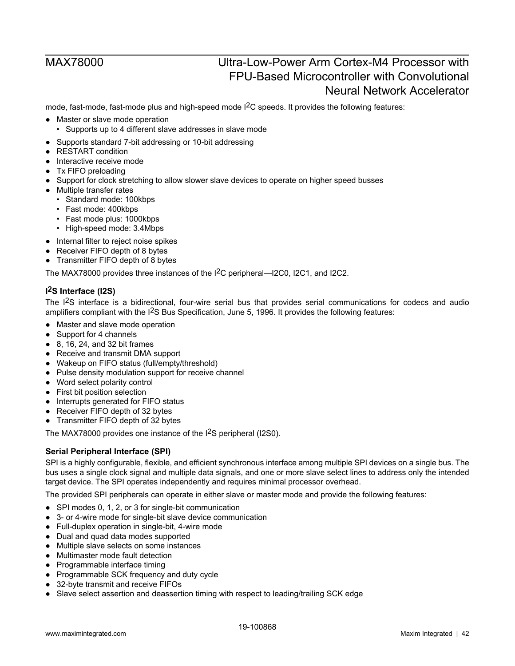mode, fast-mode, fast-mode plus and high-speed mode  $1<sup>2</sup>C$  speeds. It provides the following features:

- Master or slave mode operation
	- Supports up to 4 different slave addresses in slave mode
- Supports standard 7-bit addressing or 10-bit addressing
- RESTART condition
- Interactive receive mode
- Tx FIFO preloading
- Support for clock stretching to allow slower slave devices to operate on higher speed busses
- Multiple transfer rates
	- Standard mode: 100kbps
	- Fast mode: 400kbps
	- Fast mode plus: 1000kbps
	- High-speed mode: 3.4Mbps
- Internal filter to reject noise spikes
- Receiver FIFO depth of 8 bytes
- Transmitter FIFO depth of 8 bytes

The MAX78000 provides three instances of the I2C peripheral—I2C0, I2C1, and I2C2.

### <span id="page-41-0"></span>**I 2S Interface (I2S)**

The I2S interface is a bidirectional, four-wire serial bus that provides serial communications for codecs and audio amplifiers compliant with the I<sup>2</sup>S Bus Specification, June 5, 1996. It provides the following features:

- Master and slave mode operation
- Support for 4 channels
- $\bullet$  8, 16, 24, and 32 bit frames
- Receive and transmit DMA support
- Wakeup on FIFO status (full/empty/threshold)
- Pulse density modulation support for receive channel
- Word select polarity control
- First bit position selection
- Interrupts generated for FIFO status
- Receiver FIFO depth of 32 bytes
- Transmitter FIFO depth of 32 bytes

The MAX78000 provides one instance of the I2S peripheral (I2S0).

### <span id="page-41-1"></span>**Serial Peripheral Interface (SPI)**

SPI is a highly configurable, flexible, and efficient synchronous interface among multiple SPI devices on a single bus. The bus uses a single clock signal and multiple data signals, and one or more slave select lines to address only the intended target device. The SPI operates independently and requires minimal processor overhead.

The provided SPI peripherals can operate in either slave or master mode and provide the following features:

- SPI modes 0, 1, 2, or 3 for single-bit communication
- 3- or 4-wire mode for single-bit slave device communication
- Full-duplex operation in single-bit, 4-wire mode
- Dual and quad data modes supported
- Multiple slave selects on some instances
- Multimaster mode fault detection
- Programmable interface timing
- Programmable SCK frequency and duty cycle
- 32-byte transmit and receive FIFOs
- Slave select assertion and deassertion timing with respect to leading/trailing SCK edge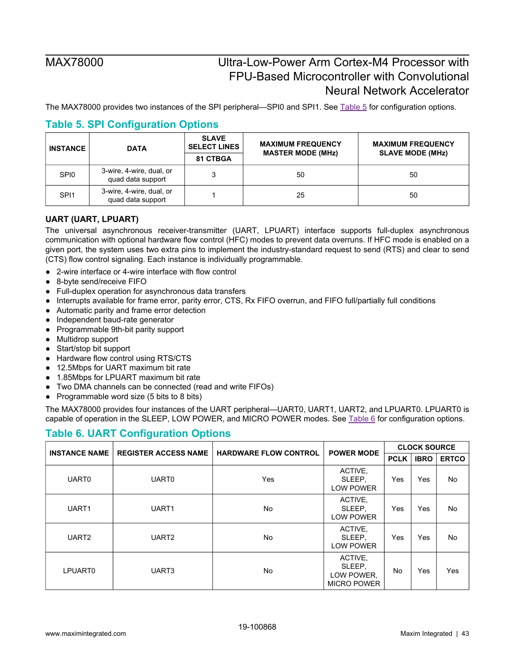The MAX78000 provides two instances of the SPI peripheral—SPI0 and SPI1. See [Table 5](#page-42-1) for configuration options.

| <b>INSTANCE</b>  | <b>DATA</b>                                   | <b>SLAVE</b><br><b>SELECT LINES</b><br>81 CTBGA | <b>MAXIMUM FREQUENCY</b><br><b>MASTER MODE (MHz)</b> | <b>MAXIMUM FREQUENCY</b><br><b>SLAVE MODE (MHz)</b> |
|------------------|-----------------------------------------------|-------------------------------------------------|------------------------------------------------------|-----------------------------------------------------|
| SPI <sub>0</sub> | 3-wire, 4-wire, dual, or<br>quad data support |                                                 | 50                                                   | 50                                                  |
| SPI <sub>1</sub> | 3-wire, 4-wire, dual, or<br>quad data support |                                                 | 25                                                   | 50                                                  |

## <span id="page-42-1"></span>**Table 5. SPI Configuration Options**

### <span id="page-42-0"></span>**UART (UART, LPUART)**

The universal asynchronous receiver-transmitter (UART, LPUART) interface supports full-duplex asynchronous communication with optional hardware flow control (HFC) modes to prevent data overruns. If HFC mode is enabled on a given port, the system uses two extra pins to implement the industry-standard request to send (RTS) and clear to send (CTS) flow control signaling. Each instance is individually programmable.

- 2-wire interface or 4-wire interface with flow control
- 8-byte send/receive FIFO
- Full-duplex operation for asynchronous data transfers
- Interrupts available for frame error, parity error, CTS, Rx FIFO overrun, and FIFO full/partially full conditions
- Automatic parity and frame error detection
- Independent baud-rate generator
- Programmable 9th-bit parity support
- Multidrop support
- Start/stop bit support
- Hardware flow control using RTS/CTS
- 12.5Mbps for UART maximum bit rate
- 1.85Mbps for LPUART maximum bit rate
- Two DMA channels can be connected (read and write FIFOs)
- Programmable word size (5 bits to 8 bits)

The MAX78000 provides four instances of the UART peripheral—UART0, UART1, UART2, and LPUART0. LPUART0 is capable of operation in the SLEEP, LOW POWER, and MICRO POWER modes. See [Table 6](#page-42-2) for configuration options.

## <span id="page-42-2"></span>**Table 6. UART Configuration Options**

| <b>INSTANCE NAME</b> | <b>REGISTER ACCESS NAME</b> | <b>HARDWARE FLOW CONTROL</b> | <b>POWER MODE</b>                                     | <b>CLOCK SOURCE</b> |             |              |
|----------------------|-----------------------------|------------------------------|-------------------------------------------------------|---------------------|-------------|--------------|
|                      |                             |                              |                                                       | <b>PCLK</b>         | <b>IBRO</b> | <b>ERTCO</b> |
| <b>UART0</b>         | <b>UART0</b>                | Yes                          | ACTIVE,<br>SLEEP,<br><b>LOW POWER</b>                 | Yes                 | Yes         | <b>No</b>    |
| UART1                | UART1                       | No                           | ACTIVE,<br>SLEEP.<br><b>LOW POWER</b>                 | Yes                 | Yes         | No           |
| UART <sub>2</sub>    | UART <sub>2</sub>           | No.                          | ACTIVE,<br>SLEEP.<br>LOW POWER                        | Yes                 | Yes         | <b>No</b>    |
| LPUART0              | UART3                       | No                           | ACTIVE,<br>SLEEP,<br>LOW POWER,<br><b>MICRO POWER</b> | No                  | Yes         | Yes          |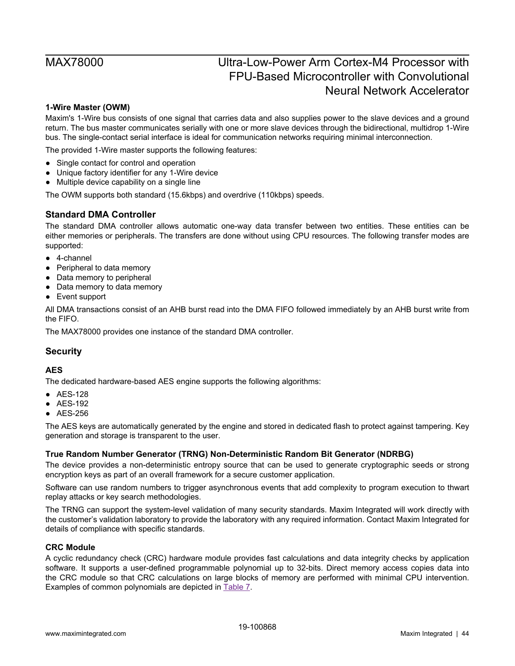### <span id="page-43-0"></span>**1-Wire Master (OWM)**

Maxim's 1-Wire bus consists of one signal that carries data and also supplies power to the slave devices and a ground return. The bus master communicates serially with one or more slave devices through the bidirectional, multidrop 1-Wire bus. The single-contact serial interface is ideal for communication networks requiring minimal interconnection.

The provided 1-Wire master supports the following features:

- Single contact for control and operation
- Unique factory identifier for any 1-Wire device
- Multiple device capability on a single line

The OWM supports both standard (15.6kbps) and overdrive (110kbps) speeds.

### <span id="page-43-1"></span>**Standard DMA Controller**

The standard DMA controller allows automatic one-way data transfer between two entities. These entities can be either memories or peripherals. The transfers are done without using CPU resources. The following transfer modes are supported:

- 4-channel
- Peripheral to data memory
- Data memory to peripheral
- Data memory to data memory
- Event support

All DMA transactions consist of an AHB burst read into the DMA FIFO followed immediately by an AHB burst write from the FIFO.

The MAX78000 provides one instance of the standard DMA controller.

### <span id="page-43-2"></span>**Security**

### <span id="page-43-3"></span>**AES**

The dedicated hardware-based AES engine supports the following algorithms:

- AES-128
- AES-192
- AES-256

The AES keys are automatically generated by the engine and stored in dedicated flash to protect against tampering. Key generation and storage is transparent to the user.

### <span id="page-43-4"></span>**True Random Number Generator (TRNG) Non-Deterministic Random Bit Generator (NDRBG)**

The device provides a non-deterministic entropy source that can be used to generate cryptographic seeds or strong encryption keys as part of an overall framework for a secure customer application.

Software can use random numbers to trigger asynchronous events that add complexity to program execution to thwart replay attacks or key search methodologies.

The TRNG can support the system-level validation of many security standards. Maxim Integrated will work directly with the customer's validation laboratory to provide the laboratory with any required information. Contact Maxim Integrated for details of compliance with specific standards.

### <span id="page-43-5"></span>**CRC Module**

A cyclic redundancy check (CRC) hardware module provides fast calculations and data integrity checks by application software. It supports a user-defined programmable polynomial up to 32-bits. Direct memory access copies data into the CRC module so that CRC calculations on large blocks of memory are performed with minimal CPU intervention. Examples of common polynomials are depicted in [Table 7](#page-44-3).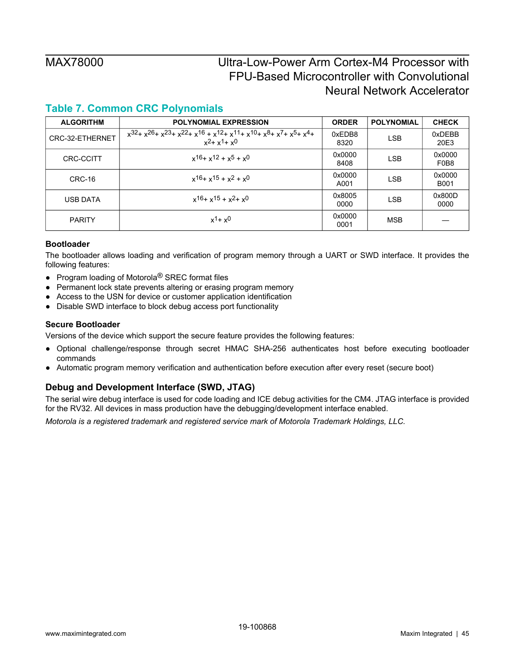## <span id="page-44-3"></span>**Table 7. Common CRC Polynomials**

| <b>ALGORITHM</b> | <b>POLYNOMIAL EXPRESSION</b>                                                                                                                         | <b>ORDER</b>   | <b>POLYNOMIAL</b> | <b>CHECK</b>                            |
|------------------|------------------------------------------------------------------------------------------------------------------------------------------------------|----------------|-------------------|-----------------------------------------|
| CRC-32-ETHERNET  | $x^{32}$ + $x^{26}$ + $x^{23}$ + $x^{22}$ + $x^{16}$ + $x^{12}$ + $x^{11}$ + $x^{10}$ + $x^{8}$ + $x^{7}$ + $x^{5}$ + $x^{4}$ +<br>$x^2 + x^1 + x^0$ | 0xEDB8<br>8320 | LSB               | 0xDEBB<br>20E3                          |
| <b>CRC-CCITT</b> | $x^{16} + x^{12} + x^{5} + x^{0}$                                                                                                                    | 0x0000<br>8408 | LSB               | 0x0000<br>F <sub>0</sub> B <sub>8</sub> |
| CRC-16           | $x^{16} + x^{15} + x^{2} + x^{0}$                                                                                                                    | 0x0000<br>A001 | <b>LSB</b>        | 0x0000<br><b>B001</b>                   |
| USB DATA         | $x^{16} + x^{15} + x^{2} + x^{0}$                                                                                                                    | 0x8005<br>0000 | LSB               | 0x800D<br>0000                          |
| <b>PARITY</b>    | $x^{1}+x^{0}$                                                                                                                                        | 0x0000<br>0001 | <b>MSB</b>        |                                         |

### <span id="page-44-0"></span>**Bootloader**

The bootloader allows loading and verification of program memory through a UART or SWD interface. It provides the following features:

- Program loading of Motorola<sup>®</sup> SREC format files
- Permanent lock state prevents altering or erasing program memory
- Access to the USN for device or customer application identification
- Disable SWD interface to block debug access port functionality

### <span id="page-44-1"></span>**Secure Bootloader**

Versions of the device which support the secure feature provides the following features:

- Optional challenge/response through secret HMAC SHA-256 authenticates host before executing bootloader commands
- Automatic program memory verification and authentication before execution after every reset (secure boot)

### <span id="page-44-2"></span>**Debug and Development Interface (SWD, JTAG)**

The serial wire debug interface is used for code loading and ICE debug activities for the CM4. JTAG interface is provided for the RV32. All devices in mass production have the debugging/development interface enabled.

*Motorola is a registered trademark and registered service mark of Motorola Trademark Holdings, LLC.*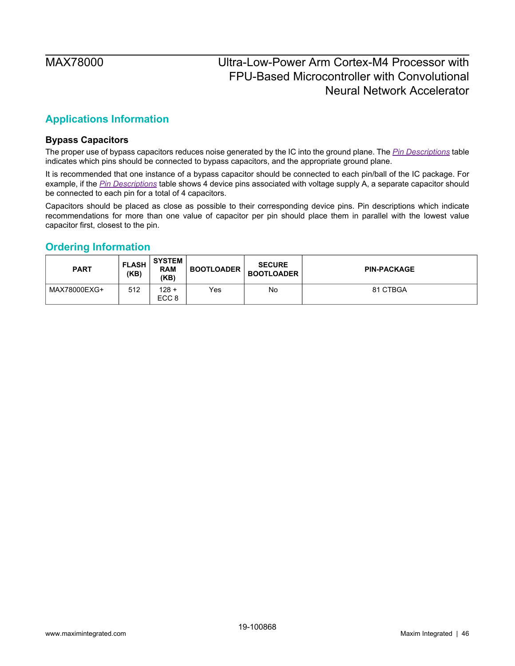## <span id="page-45-1"></span>**Applications Information**

### <span id="page-45-2"></span>**Bypass Capacitors**

The proper use of bypass capacitors reduces noise generated by the IC into the ground plane. The *[Pin Descriptions](#page-27-1)* table indicates which pins should be connected to bypass capacitors, and the appropriate ground plane.

It is recommended that one instance of a bypass capacitor should be connected to each pin/ball of the IC package. For example, if the *[Pin Descriptions](#page-27-1)* table shows 4 device pins associated with voltage supply A, a separate capacitor should be connected to each pin for a total of 4 capacitors.

Capacitors should be placed as close as possible to their corresponding device pins. Pin descriptions which indicate recommendations for more than one value of capacitor per pin should place them in parallel with the lowest value capacitor first, closest to the pin.

### <span id="page-45-0"></span>**Ordering Information**

| <b>PART</b>  | <b>FLASH</b><br>(KB) | <b>SYSTEM</b><br><b>RAM</b><br>(KB) | <b>BOOTLOADER</b> | <b>SECURE</b><br><b>BOOTLOADER</b> | <b>PIN-PACKAGE</b> |
|--------------|----------------------|-------------------------------------|-------------------|------------------------------------|--------------------|
| MAX78000EXG+ | 512                  | $128 +$<br>ECC <sub>8</sub>         | Yes               | No                                 | 81 CTBGA           |